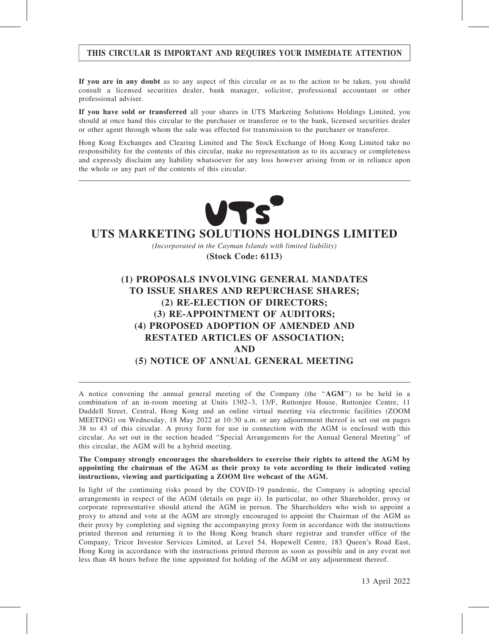# THIS CIRCULAR IS IMPORTANT AND REQUIRES YOUR IMMEDIATE ATTENTION

If you are in any doubt as to any aspect of this circular or as to the action to be taken, you should consult a licensed securities dealer, bank manager, solicitor, professional accountant or other professional adviser.

If you have sold or transferred all your shares in UTS Marketing Solutions Holdings Limited, you should at once hand this circular to the purchaser or transferee or to the bank, licensed securities dealer or other agent through whom the sale was effected for transmission to the purchaser or transferee.

Hong Kong Exchanges and Clearing Limited and The Stock Exchange of Hong Kong Limited take no responsibility for the contents of this circular, make no representation as to its accuracy or completeness and expressly disclaim any liability whatsoever for any loss however arising from or in reliance upon the whole or any part of the contents of this circular.



# **UTS MARKETING SOLUTIONS HOLDINGS LIMITED**

*(Incorporated in the Cayman Islands with limited liability)*

**(Stock Code: 6113)**

# (1) PROPOSALS INVOLVING GENERAL MANDATES TO ISSUE SHARES AND REPURCHASE SHARES; (2) RE-ELECTION OF DIRECTORS; (3) RE-APPOINTMENT OF AUDITORS; (4) PROPOSED ADOPTION OF AMENDED AND RESTATED ARTICLES OF ASSOCIATION; AND (5) NOTICE OF ANNUAL GENERAL MEETING

A notice convening the annual general meeting of the Company (the ''AGM'') to be held in a combination of an in-room meeting at Units 1302–3, 13/F, Ruttonjee House, Ruttonjee Centre, 11 Duddell Street, Central, Hong Kong and an online virtual meeting via electronic facilities (ZOOM MEETING) on Wednesday, 18 May 2022 at 10:30 a.m. or any adjournment thereof is set out on pages 38 to 43 of this circular. A proxy form for use in connection with the AGM is enclosed with this circular. As set out in the section headed ''Special Arrangements for the Annual General Meeting'' of this circular, the AGM will be a hybrid meeting.

The Company strongly encourages the shareholders to exercise their rights to attend the AGM by appointing the chairman of the AGM as their proxy to vote according to their indicated voting instructions, viewing and participating a ZOOM live webcast of the AGM.

In light of the continuing risks posed by the COVID-19 pandemic, the Company is adopting special arrangements in respect of the AGM (details on page ii). In particular, no other Shareholder, proxy or corporate representative should attend the AGM in person. The Shareholders who wish to appoint a proxy to attend and vote at the AGM are strongly encouraged to appoint the Chairman of the AGM as their proxy by completing and signing the accompanying proxy form in accordance with the instructions printed thereon and returning it to the Hong Kong branch share registrar and transfer office of the Company, Tricor Investor Services Limited, at Level 54, Hopewell Centre, 183 Queen's Road East, Hong Kong in accordance with the instructions printed thereon as soon as possible and in any event not less than 48 hours before the time appointed for holding of the AGM or any adjournment thereof.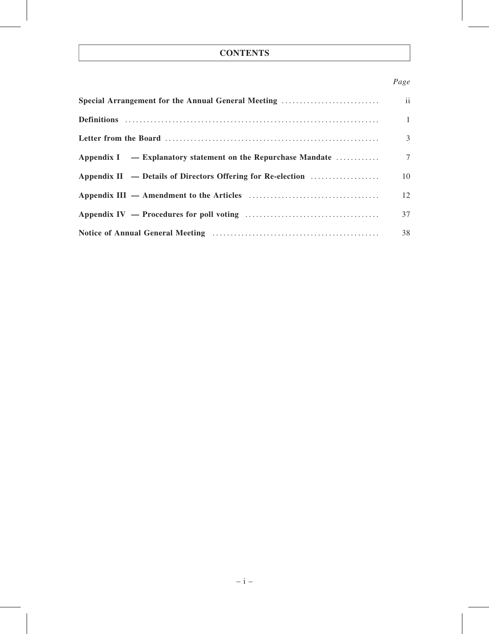# **CONTENTS**

# Page

| Special Arrangement for the Annual General Meeting             | ii           |
|----------------------------------------------------------------|--------------|
|                                                                | $\mathbf{1}$ |
|                                                                | 3            |
| Appendix $I =$ Explanatory statement on the Repurchase Mandate | $\tau$       |
| Appendix II $-$ Details of Directors Offering for Re-election  | 10           |
|                                                                | 12           |
|                                                                | 37           |
|                                                                | 38           |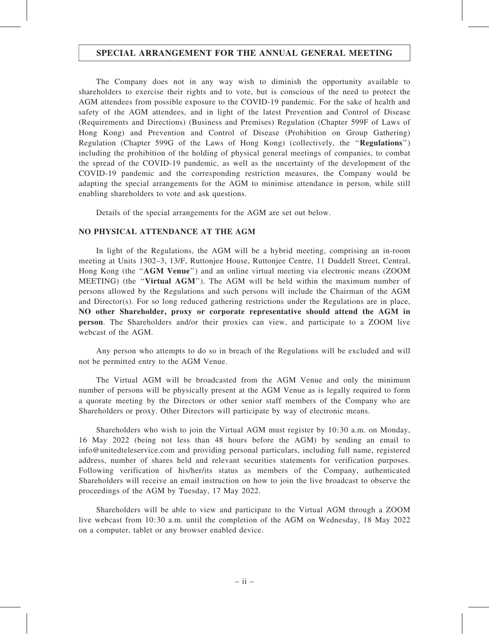# SPECIAL ARRANGEMENT FOR THE ANNUAL GENERAL MEETING

The Company does not in any way wish to diminish the opportunity available to shareholders to exercise their rights and to vote, but is conscious of the need to protect the AGM attendees from possible exposure to the COVID-19 pandemic. For the sake of health and safety of the AGM attendees, and in light of the latest Prevention and Control of Disease (Requirements and Directions) (Business and Premises) Regulation (Chapter 599F of Laws of Hong Kong) and Prevention and Control of Disease (Prohibition on Group Gathering) Regulation (Chapter 599G of the Laws of Hong Kong) (collectively, the ''Regulations'') including the prohibition of the holding of physical general meetings of companies, to combat the spread of the COVID-19 pandemic, as well as the uncertainty of the development of the COVID-19 pandemic and the corresponding restriction measures, the Company would be adapting the special arrangements for the AGM to minimise attendance in person, while still enabling shareholders to vote and ask questions.

Details of the special arrangements for the AGM are set out below.

# NO PHYSICAL ATTENDANCE AT THE AGM

In light of the Regulations, the AGM will be a hybrid meeting, comprising an in-room meeting at Units 1302–3, 13/F, Ruttonjee House, Ruttonjee Centre, 11 Duddell Street, Central, Hong Kong (the ''AGM Venue'') and an online virtual meeting via electronic means (ZOOM MEETING) (the ''Virtual AGM''). The AGM will be held within the maximum number of persons allowed by the Regulations and such persons will include the Chairman of the AGM and Director(s). For so long reduced gathering restrictions under the Regulations are in place, NO other Shareholder, proxy or corporate representative should attend the AGM in person. The Shareholders and/or their proxies can view, and participate to a ZOOM live webcast of the AGM.

Any person who attempts to do so in breach of the Regulations will be excluded and will not be permitted entry to the AGM Venue.

The Virtual AGM will be broadcasted from the AGM Venue and only the minimum number of persons will be physically present at the AGM Venue as is legally required to form a quorate meeting by the Directors or other senior staff members of the Company who are Shareholders or proxy. Other Directors will participate by way of electronic means.

Shareholders who wish to join the Virtual AGM must register by 10:30 a.m. on Monday, 16 May 2022 (being not less than 48 hours before the AGM) by sending an email to info@unitedteleservice.com and providing personal particulars, including full name, registered address, number of shares held and relevant securities statements for verification purposes. Following verification of his/her/its status as members of the Company, authenticated Shareholders will receive an email instruction on how to join the live broadcast to observe the proceedings of the AGM by Tuesday, 17 May 2022.

Shareholders will be able to view and participate to the Virtual AGM through a ZOOM live webcast from 10:30 a.m. until the completion of the AGM on Wednesday, 18 May 2022 on a computer, tablet or any browser enabled device.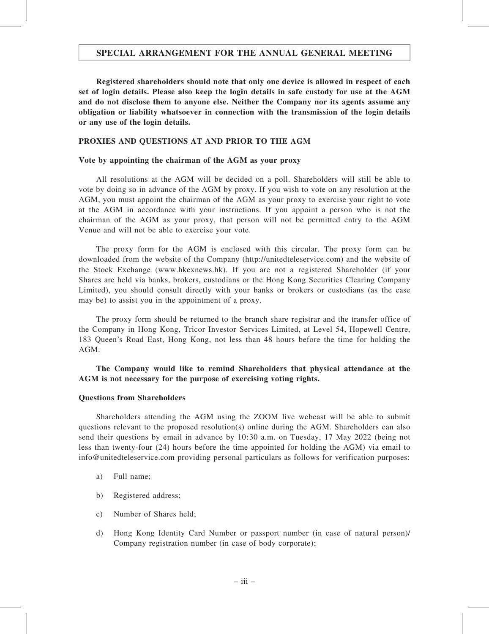# SPECIAL ARRANGEMENT FOR THE ANNUAL GENERAL MEETING

Registered shareholders should note that only one device is allowed in respect of each set of login details. Please also keep the login details in safe custody for use at the AGM and do not disclose them to anyone else. Neither the Company nor its agents assume any obligation or liability whatsoever in connection with the transmission of the login details or any use of the login details.

# PROXIES AND QUESTIONS AT AND PRIOR TO THE AGM

# Vote by appointing the chairman of the AGM as your proxy

All resolutions at the AGM will be decided on a poll. Shareholders will still be able to vote by doing so in advance of the AGM by proxy. If you wish to vote on any resolution at the AGM, you must appoint the chairman of the AGM as your proxy to exercise your right to vote at the AGM in accordance with your instructions. If you appoint a person who is not the chairman of the AGM as your proxy, that person will not be permitted entry to the AGM Venue and will not be able to exercise your vote.

The proxy form for the AGM is enclosed with this circular. The proxy form can be downloaded from the website of the Company (http://unitedteleservice.com) and the website of the Stock Exchange (www.hkexnews.hk). If you are not a registered Shareholder (if your Shares are held via banks, brokers, custodians or the Hong Kong Securities Clearing Company Limited), you should consult directly with your banks or brokers or custodians (as the case may be) to assist you in the appointment of a proxy.

The proxy form should be returned to the branch share registrar and the transfer office of the Company in Hong Kong, Tricor Investor Services Limited, at Level 54, Hopewell Centre, 183 Queen's Road East, Hong Kong, not less than 48 hours before the time for holding the AGM.

# The Company would like to remind Shareholders that physical attendance at the AGM is not necessary for the purpose of exercising voting rights.

# Questions from Shareholders

Shareholders attending the AGM using the ZOOM live webcast will be able to submit questions relevant to the proposed resolution(s) online during the AGM. Shareholders can also send their questions by email in advance by 10:30 a.m. on Tuesday, 17 May 2022 (being not less than twenty-four (24) hours before the time appointed for holding the AGM) via email to info@unitedteleservice.com providing personal particulars as follows for verification purposes:

- a) Full name;
- b) Registered address;
- c) Number of Shares held;
- d) Hong Kong Identity Card Number or passport number (in case of natural person)/ Company registration number (in case of body corporate);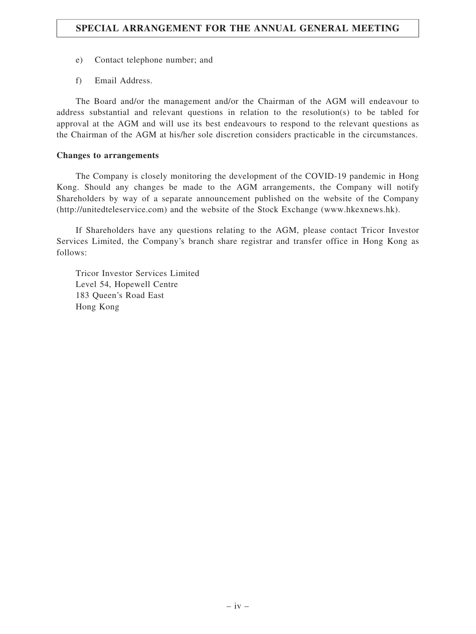- e) Contact telephone number; and
- f) Email Address.

The Board and/or the management and/or the Chairman of the AGM will endeavour to address substantial and relevant questions in relation to the resolution(s) to be tabled for approval at the AGM and will use its best endeavours to respond to the relevant questions as the Chairman of the AGM at his/her sole discretion considers practicable in the circumstances.

# Changes to arrangements

The Company is closely monitoring the development of the COVID-19 pandemic in Hong Kong. Should any changes be made to the AGM arrangements, the Company will notify Shareholders by way of a separate announcement published on the website of the Company (http://unitedteleservice.com) and the website of the Stock Exchange (www.hkexnews.hk).

If Shareholders have any questions relating to the AGM, please contact Tricor Investor Services Limited, the Company's branch share registrar and transfer office in Hong Kong as follows:

Tricor Investor Services Limited Level 54, Hopewell Centre 183 Queen's Road East Hong Kong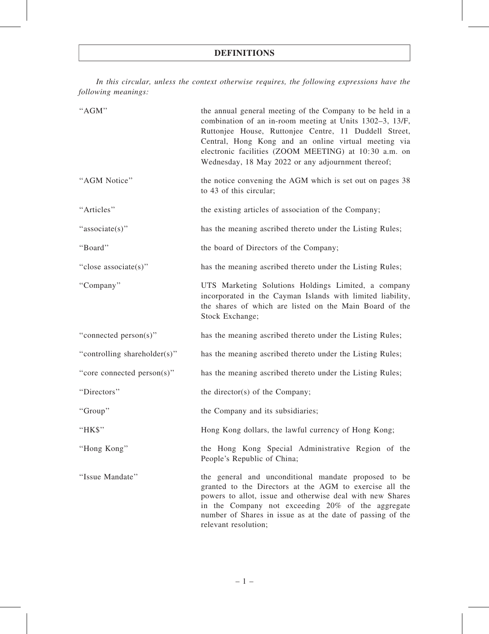In this circular, unless the context otherwise requires, the following expressions have the following meanings:

| "AGM"                        | the annual general meeting of the Company to be held in a<br>combination of an in-room meeting at Units 1302–3, 13/F,<br>Ruttonjee House, Ruttonjee Centre, 11 Duddell Street,<br>Central, Hong Kong and an online virtual meeting via<br>electronic facilities (ZOOM MEETING) at 10:30 a.m. on<br>Wednesday, 18 May 2022 or any adjournment thereof; |
|------------------------------|-------------------------------------------------------------------------------------------------------------------------------------------------------------------------------------------------------------------------------------------------------------------------------------------------------------------------------------------------------|
| "AGM Notice"                 | the notice convening the AGM which is set out on pages 38<br>to 43 of this circular;                                                                                                                                                                                                                                                                  |
| "Articles"                   | the existing articles of association of the Company;                                                                                                                                                                                                                                                                                                  |
| "associate(s)"               | has the meaning ascribed thereto under the Listing Rules;                                                                                                                                                                                                                                                                                             |
| "Board"                      | the board of Directors of the Company;                                                                                                                                                                                                                                                                                                                |
| "close associate(s)"         | has the meaning ascribed thereto under the Listing Rules;                                                                                                                                                                                                                                                                                             |
| "Company"                    | UTS Marketing Solutions Holdings Limited, a company<br>incorporated in the Cayman Islands with limited liability,<br>the shares of which are listed on the Main Board of the<br>Stock Exchange;                                                                                                                                                       |
| "connected person(s)"        | has the meaning ascribed thereto under the Listing Rules;                                                                                                                                                                                                                                                                                             |
| "controlling shareholder(s)" | has the meaning ascribed thereto under the Listing Rules;                                                                                                                                                                                                                                                                                             |
| "core connected person(s)"   | has the meaning ascribed thereto under the Listing Rules;                                                                                                                                                                                                                                                                                             |
| "Directors"                  | the director(s) of the Company;                                                                                                                                                                                                                                                                                                                       |
| "Group"                      | the Company and its subsidiaries;                                                                                                                                                                                                                                                                                                                     |
| "HK\$"                       | Hong Kong dollars, the lawful currency of Hong Kong;                                                                                                                                                                                                                                                                                                  |
| "Hong Kong"                  | the Hong Kong Special Administrative Region of the<br>People's Republic of China;                                                                                                                                                                                                                                                                     |
| "Issue Mandate"              | the general and unconditional mandate proposed to be<br>granted to the Directors at the AGM to exercise all the<br>powers to allot, issue and otherwise deal with new Shares<br>in the Company not exceeding 20% of the aggregate<br>number of Shares in issue as at the date of passing of the<br>relevant resolution;                               |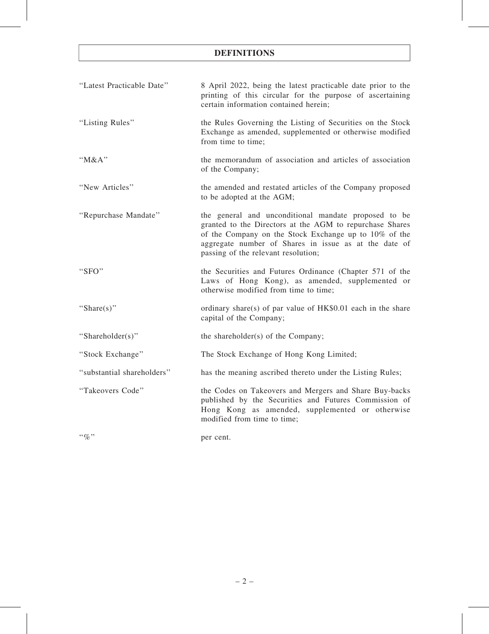# DEFINITIONS

| "Latest Practicable Date"  | 8 April 2022, being the latest practicable date prior to the<br>printing of this circular for the purpose of ascertaining<br>certain information contained herein;                                                                                                        |
|----------------------------|---------------------------------------------------------------------------------------------------------------------------------------------------------------------------------------------------------------------------------------------------------------------------|
| "Listing Rules"            | the Rules Governing the Listing of Securities on the Stock<br>Exchange as amended, supplemented or otherwise modified<br>from time to time;                                                                                                                               |
| "M&A"                      | the memorandum of association and articles of association<br>of the Company;                                                                                                                                                                                              |
| "New Articles"             | the amended and restated articles of the Company proposed<br>to be adopted at the AGM;                                                                                                                                                                                    |
| "Repurchase Mandate"       | the general and unconditional mandate proposed to be<br>granted to the Directors at the AGM to repurchase Shares<br>of the Company on the Stock Exchange up to 10% of the<br>aggregate number of Shares in issue as at the date of<br>passing of the relevant resolution; |
| "SFO"                      | the Securities and Futures Ordinance (Chapter 571 of the<br>Laws of Hong Kong), as amended, supplemented or<br>otherwise modified from time to time;                                                                                                                      |
| "Share $(s)$ "             | ordinary share(s) of par value of HK\$0.01 each in the share<br>capital of the Company;                                                                                                                                                                                   |
| "Shareholder(s)"           | the shareholder(s) of the Company;                                                                                                                                                                                                                                        |
| "Stock Exchange"           | The Stock Exchange of Hong Kong Limited;                                                                                                                                                                                                                                  |
| "substantial shareholders" | has the meaning ascribed thereto under the Listing Rules;                                                                                                                                                                                                                 |
| "Takeovers Code"           | the Codes on Takeovers and Mergers and Share Buy-backs<br>published by the Securities and Futures Commission of<br>Hong Kong as amended, supplemented or otherwise<br>modified from time to time;                                                                         |
| $``\%"$                    | per cent.                                                                                                                                                                                                                                                                 |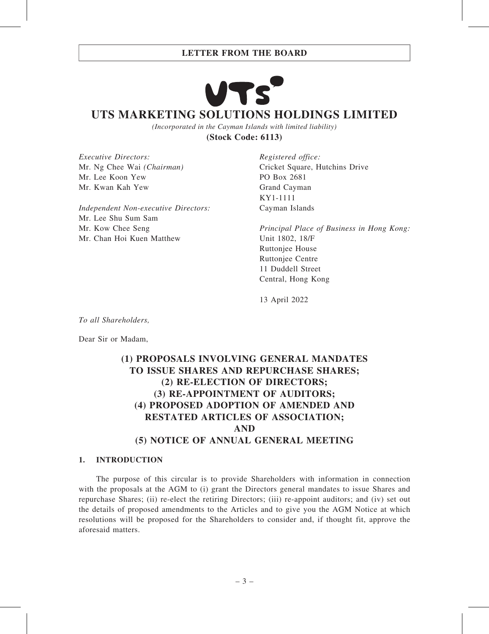# LETTER FROM THE BOARD

# **UTS MARKETING SOLUTIONS HOLDINGS LIMITED**

*(Incorporated in the Cayman Islands with limited liability)* **(Stock Code: 6113)**

Executive Directors: Mr. Ng Chee Wai (Chairman) Mr. Lee Koon Yew Mr. Kwan Kah Yew

Independent Non-executive Directors: Mr. Lee Shu Sum Sam Mr. Kow Chee Seng Mr. Chan Hoi Kuen Matthew

Registered office: Cricket Square, Hutchins Drive PO Box 2681 Grand Cayman KY1-1111 Cayman Islands

Principal Place of Business in Hong Kong: Unit 1802, 18/F Ruttonjee House Ruttonjee Centre 11 Duddell Street Central, Hong Kong

13 April 2022

To all Shareholders,

Dear Sir or Madam,

# (1) PROPOSALS INVOLVING GENERAL MANDATES TO ISSUE SHARES AND REPURCHASE SHARES; (2) RE-ELECTION OF DIRECTORS; (3) RE-APPOINTMENT OF AUDITORS; (4) PROPOSED ADOPTION OF AMENDED AND RESTATED ARTICLES OF ASSOCIATION; AND (5) NOTICE OF ANNUAL GENERAL MEETING

# 1. INTRODUCTION

The purpose of this circular is to provide Shareholders with information in connection with the proposals at the AGM to (i) grant the Directors general mandates to issue Shares and repurchase Shares; (ii) re-elect the retiring Directors; (iii) re-appoint auditors; and (iv) set out the details of proposed amendments to the Articles and to give you the AGM Notice at which resolutions will be proposed for the Shareholders to consider and, if thought fit, approve the aforesaid matters.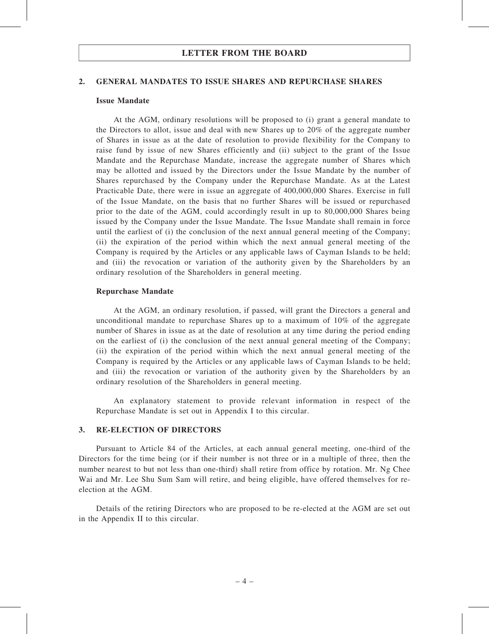# LETTER FROM THE BOARD

### 2. GENERAL MANDATES TO ISSUE SHARES AND REPURCHASE SHARES

### Issue Mandate

At the AGM, ordinary resolutions will be proposed to (i) grant a general mandate to the Directors to allot, issue and deal with new Shares up to 20% of the aggregate number of Shares in issue as at the date of resolution to provide flexibility for the Company to raise fund by issue of new Shares efficiently and (ii) subject to the grant of the Issue Mandate and the Repurchase Mandate, increase the aggregate number of Shares which may be allotted and issued by the Directors under the Issue Mandate by the number of Shares repurchased by the Company under the Repurchase Mandate. As at the Latest Practicable Date, there were in issue an aggregate of 400,000,000 Shares. Exercise in full of the Issue Mandate, on the basis that no further Shares will be issued or repurchased prior to the date of the AGM, could accordingly result in up to 80,000,000 Shares being issued by the Company under the Issue Mandate. The Issue Mandate shall remain in force until the earliest of (i) the conclusion of the next annual general meeting of the Company; (ii) the expiration of the period within which the next annual general meeting of the Company is required by the Articles or any applicable laws of Cayman Islands to be held; and (iii) the revocation or variation of the authority given by the Shareholders by an ordinary resolution of the Shareholders in general meeting.

### Repurchase Mandate

At the AGM, an ordinary resolution, if passed, will grant the Directors a general and unconditional mandate to repurchase Shares up to a maximum of 10% of the aggregate number of Shares in issue as at the date of resolution at any time during the period ending on the earliest of (i) the conclusion of the next annual general meeting of the Company; (ii) the expiration of the period within which the next annual general meeting of the Company is required by the Articles or any applicable laws of Cayman Islands to be held; and (iii) the revocation or variation of the authority given by the Shareholders by an ordinary resolution of the Shareholders in general meeting.

An explanatory statement to provide relevant information in respect of the Repurchase Mandate is set out in Appendix I to this circular.

# 3. RE-ELECTION OF DIRECTORS

Pursuant to Article 84 of the Articles, at each annual general meeting, one-third of the Directors for the time being (or if their number is not three or in a multiple of three, then the number nearest to but not less than one-third) shall retire from office by rotation. Mr. Ng Chee Wai and Mr. Lee Shu Sum Sam will retire, and being eligible, have offered themselves for reelection at the AGM.

Details of the retiring Directors who are proposed to be re-elected at the AGM are set out in the Appendix II to this circular.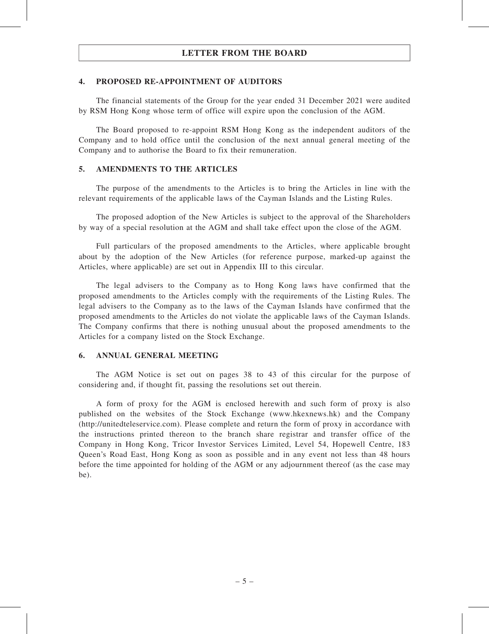# LETTER FROM THE BOARD

# 4. PROPOSED RE-APPOINTMENT OF AUDITORS

The financial statements of the Group for the year ended 31 December 2021 were audited by RSM Hong Kong whose term of office will expire upon the conclusion of the AGM.

The Board proposed to re-appoint RSM Hong Kong as the independent auditors of the Company and to hold office until the conclusion of the next annual general meeting of the Company and to authorise the Board to fix their remuneration.

# 5. AMENDMENTS TO THE ARTICLES

The purpose of the amendments to the Articles is to bring the Articles in line with the relevant requirements of the applicable laws of the Cayman Islands and the Listing Rules.

The proposed adoption of the New Articles is subject to the approval of the Shareholders by way of a special resolution at the AGM and shall take effect upon the close of the AGM.

Full particulars of the proposed amendments to the Articles, where applicable brought about by the adoption of the New Articles (for reference purpose, marked-up against the Articles, where applicable) are set out in Appendix III to this circular.

The legal advisers to the Company as to Hong Kong laws have confirmed that the proposed amendments to the Articles comply with the requirements of the Listing Rules. The legal advisers to the Company as to the laws of the Cayman Islands have confirmed that the proposed amendments to the Articles do not violate the applicable laws of the Cayman Islands. The Company confirms that there is nothing unusual about the proposed amendments to the Articles for a company listed on the Stock Exchange.

# 6. ANNUAL GENERAL MEETING

The AGM Notice is set out on pages 38 to 43 of this circular for the purpose of considering and, if thought fit, passing the resolutions set out therein.

A form of proxy for the AGM is enclosed herewith and such form of proxy is also published on the websites of the Stock Exchange (www.hkexnews.hk) and the Company (http://unitedteleservice.com). Please complete and return the form of proxy in accordance with the instructions printed thereon to the branch share registrar and transfer office of the Company in Hong Kong, Tricor Investor Services Limited, Level 54, Hopewell Centre, 183 Queen's Road East, Hong Kong as soon as possible and in any event not less than 48 hours before the time appointed for holding of the AGM or any adjournment thereof (as the case may be).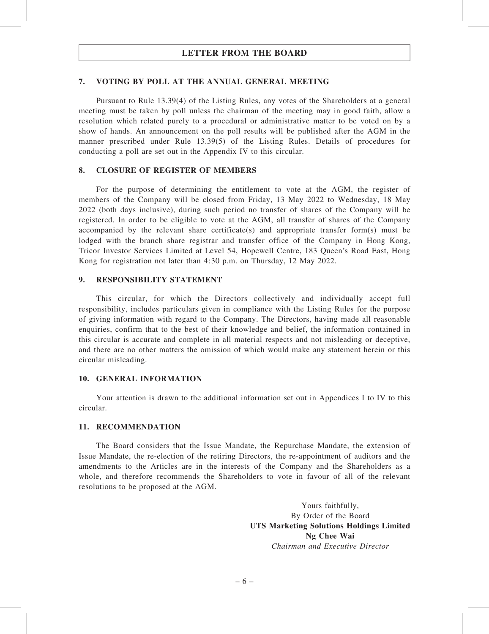# 7. VOTING BY POLL AT THE ANNUAL GENERAL MEETING

Pursuant to Rule 13.39(4) of the Listing Rules, any votes of the Shareholders at a general meeting must be taken by poll unless the chairman of the meeting may in good faith, allow a resolution which related purely to a procedural or administrative matter to be voted on by a show of hands. An announcement on the poll results will be published after the AGM in the manner prescribed under Rule 13.39(5) of the Listing Rules. Details of procedures for conducting a poll are set out in the Appendix IV to this circular.

# 8. CLOSURE OF REGISTER OF MEMBERS

For the purpose of determining the entitlement to vote at the AGM, the register of members of the Company will be closed from Friday, 13 May 2022 to Wednesday, 18 May 2022 (both days inclusive), during such period no transfer of shares of the Company will be registered. In order to be eligible to vote at the AGM, all transfer of shares of the Company accompanied by the relevant share certificate(s) and appropriate transfer form(s) must be lodged with the branch share registrar and transfer office of the Company in Hong Kong, Tricor Investor Services Limited at Level 54, Hopewell Centre, 183 Queen's Road East, Hong Kong for registration not later than 4:30 p.m. on Thursday, 12 May 2022.

# 9. RESPONSIBILITY STATEMENT

This circular, for which the Directors collectively and individually accept full responsibility, includes particulars given in compliance with the Listing Rules for the purpose of giving information with regard to the Company. The Directors, having made all reasonable enquiries, confirm that to the best of their knowledge and belief, the information contained in this circular is accurate and complete in all material respects and not misleading or deceptive, and there are no other matters the omission of which would make any statement herein or this circular misleading.

### 10. GENERAL INFORMATION

Your attention is drawn to the additional information set out in Appendices I to IV to this circular.

### 11. RECOMMENDATION

The Board considers that the Issue Mandate, the Repurchase Mandate, the extension of Issue Mandate, the re-election of the retiring Directors, the re-appointment of auditors and the amendments to the Articles are in the interests of the Company and the Shareholders as a whole, and therefore recommends the Shareholders to vote in favour of all of the relevant resolutions to be proposed at the AGM.

> Yours faithfully, By Order of the Board UTS Marketing Solutions Holdings Limited Ng Chee Wai Chairman and Executive Director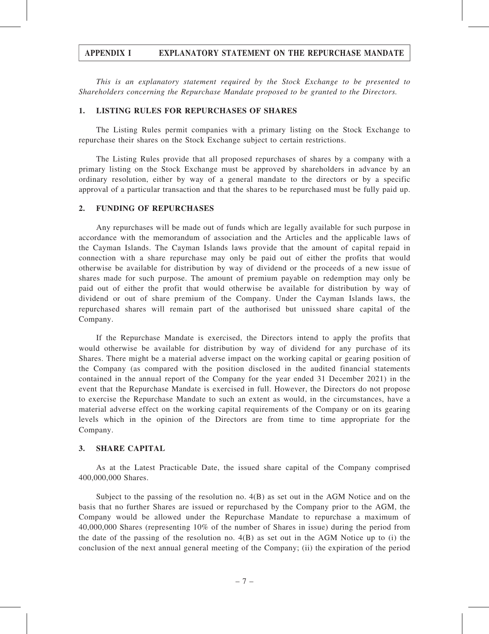# APPENDIX I EXPLANATORY STATEMENT ON THE REPURCHASE MANDATE

This is an explanatory statement required by the Stock Exchange to be presented to Shareholders concerning the Repurchase Mandate proposed to be granted to the Directors.

# 1. LISTING RULES FOR REPURCHASES OF SHARES

The Listing Rules permit companies with a primary listing on the Stock Exchange to repurchase their shares on the Stock Exchange subject to certain restrictions.

The Listing Rules provide that all proposed repurchases of shares by a company with a primary listing on the Stock Exchange must be approved by shareholders in advance by an ordinary resolution, either by way of a general mandate to the directors or by a specific approval of a particular transaction and that the shares to be repurchased must be fully paid up.

# 2. FUNDING OF REPURCHASES

Any repurchases will be made out of funds which are legally available for such purpose in accordance with the memorandum of association and the Articles and the applicable laws of the Cayman Islands. The Cayman Islands laws provide that the amount of capital repaid in connection with a share repurchase may only be paid out of either the profits that would otherwise be available for distribution by way of dividend or the proceeds of a new issue of shares made for such purpose. The amount of premium payable on redemption may only be paid out of either the profit that would otherwise be available for distribution by way of dividend or out of share premium of the Company. Under the Cayman Islands laws, the repurchased shares will remain part of the authorised but unissued share capital of the Company.

If the Repurchase Mandate is exercised, the Directors intend to apply the profits that would otherwise be available for distribution by way of dividend for any purchase of its Shares. There might be a material adverse impact on the working capital or gearing position of the Company (as compared with the position disclosed in the audited financial statements contained in the annual report of the Company for the year ended 31 December 2021) in the event that the Repurchase Mandate is exercised in full. However, the Directors do not propose to exercise the Repurchase Mandate to such an extent as would, in the circumstances, have a material adverse effect on the working capital requirements of the Company or on its gearing levels which in the opinion of the Directors are from time to time appropriate for the Company.

### 3. SHARE CAPITAL

As at the Latest Practicable Date, the issued share capital of the Company comprised 400,000,000 Shares.

Subject to the passing of the resolution no. 4(B) as set out in the AGM Notice and on the basis that no further Shares are issued or repurchased by the Company prior to the AGM, the Company would be allowed under the Repurchase Mandate to repurchase a maximum of 40,000,000 Shares (representing 10% of the number of Shares in issue) during the period from the date of the passing of the resolution no. 4(B) as set out in the AGM Notice up to (i) the conclusion of the next annual general meeting of the Company; (ii) the expiration of the period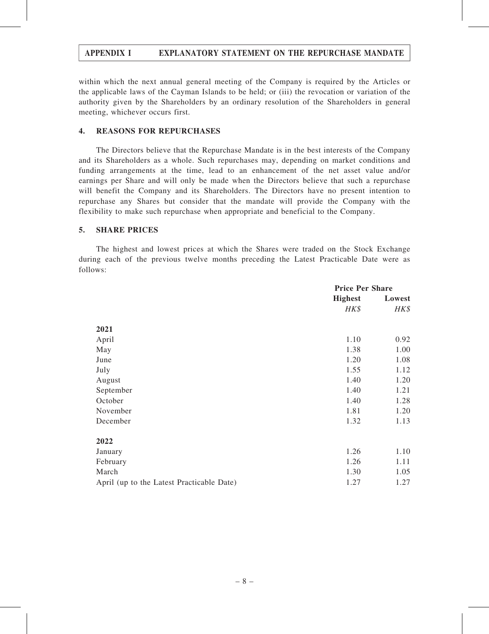# APPENDIX I EXPLANATORY STATEMENT ON THE REPURCHASE MANDATE

within which the next annual general meeting of the Company is required by the Articles or the applicable laws of the Cayman Islands to be held; or (iii) the revocation or variation of the authority given by the Shareholders by an ordinary resolution of the Shareholders in general meeting, whichever occurs first.

# 4. REASONS FOR REPURCHASES

The Directors believe that the Repurchase Mandate is in the best interests of the Company and its Shareholders as a whole. Such repurchases may, depending on market conditions and funding arrangements at the time, lead to an enhancement of the net asset value and/or earnings per Share and will only be made when the Directors believe that such a repurchase will benefit the Company and its Shareholders. The Directors have no present intention to repurchase any Shares but consider that the mandate will provide the Company with the flexibility to make such repurchase when appropriate and beneficial to the Company.

# 5. SHARE PRICES

The highest and lowest prices at which the Shares were traded on the Stock Exchange during each of the previous twelve months preceding the Latest Practicable Date were as follows:

|                                           | <b>Price Per Share</b> |        |
|-------------------------------------------|------------------------|--------|
|                                           | <b>Highest</b>         | Lowest |
|                                           | HK\$                   | HK\$   |
| 2021                                      |                        |        |
|                                           |                        |        |
| April                                     | 1.10                   | 0.92   |
| May                                       | 1.38                   | 1.00   |
| June                                      | 1.20                   | 1.08   |
| July                                      | 1.55                   | 1.12   |
| August                                    | 1.40                   | 1.20   |
| September                                 | 1.40                   | 1.21   |
| October                                   | 1.40                   | 1.28   |
| November                                  | 1.81                   | 1.20   |
| December                                  | 1.32                   | 1.13   |
| 2022                                      |                        |        |
| January                                   | 1.26                   | 1.10   |
| February                                  | 1.26                   | 1.11   |
| March                                     | 1.30                   | 1.05   |
| April (up to the Latest Practicable Date) | 1.27                   | 1.27   |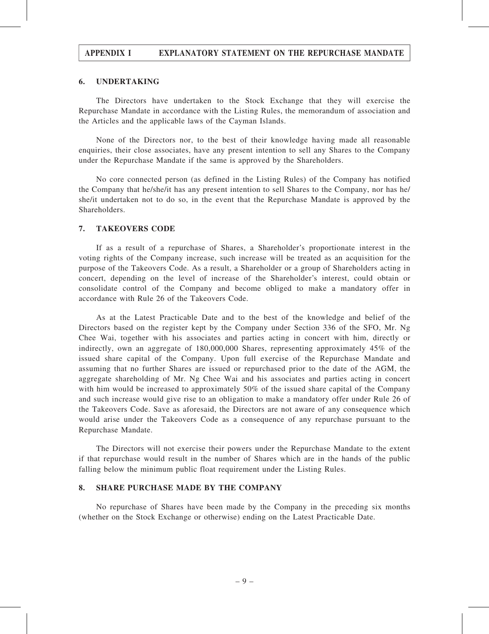# APPENDIX I EXPLANATORY STATEMENT ON THE REPURCHASE MANDATE

# 6. UNDERTAKING

The Directors have undertaken to the Stock Exchange that they will exercise the Repurchase Mandate in accordance with the Listing Rules, the memorandum of association and the Articles and the applicable laws of the Cayman Islands.

None of the Directors nor, to the best of their knowledge having made all reasonable enquiries, their close associates, have any present intention to sell any Shares to the Company under the Repurchase Mandate if the same is approved by the Shareholders.

No core connected person (as defined in the Listing Rules) of the Company has notified the Company that he/she/it has any present intention to sell Shares to the Company, nor has he/ she/it undertaken not to do so, in the event that the Repurchase Mandate is approved by the Shareholders.

# 7. TAKEOVERS CODE

If as a result of a repurchase of Shares, a Shareholder's proportionate interest in the voting rights of the Company increase, such increase will be treated as an acquisition for the purpose of the Takeovers Code. As a result, a Shareholder or a group of Shareholders acting in concert, depending on the level of increase of the Shareholder's interest, could obtain or consolidate control of the Company and become obliged to make a mandatory offer in accordance with Rule 26 of the Takeovers Code.

As at the Latest Practicable Date and to the best of the knowledge and belief of the Directors based on the register kept by the Company under Section 336 of the SFO, Mr. Ng Chee Wai, together with his associates and parties acting in concert with him, directly or indirectly, own an aggregate of 180,000,000 Shares, representing approximately 45% of the issued share capital of the Company. Upon full exercise of the Repurchase Mandate and assuming that no further Shares are issued or repurchased prior to the date of the AGM, the aggregate shareholding of Mr. Ng Chee Wai and his associates and parties acting in concert with him would be increased to approximately 50% of the issued share capital of the Company and such increase would give rise to an obligation to make a mandatory offer under Rule 26 of the Takeovers Code. Save as aforesaid, the Directors are not aware of any consequence which would arise under the Takeovers Code as a consequence of any repurchase pursuant to the Repurchase Mandate.

The Directors will not exercise their powers under the Repurchase Mandate to the extent if that repurchase would result in the number of Shares which are in the hands of the public falling below the minimum public float requirement under the Listing Rules.

# 8. SHARE PURCHASE MADE BY THE COMPANY

No repurchase of Shares have been made by the Company in the preceding six months (whether on the Stock Exchange or otherwise) ending on the Latest Practicable Date.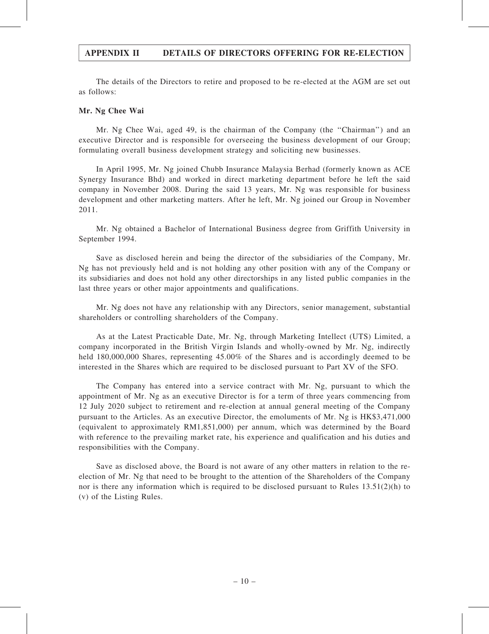# APPENDIX II DETAILS OF DIRECTORS OFFERING FOR RE-ELECTION

The details of the Directors to retire and proposed to be re-elected at the AGM are set out as follows:

# Mr. Ng Chee Wai

Mr. Ng Chee Wai, aged 49, is the chairman of the Company (the ''Chairman'') and an executive Director and is responsible for overseeing the business development of our Group; formulating overall business development strategy and soliciting new businesses.

In April 1995, Mr. Ng joined Chubb Insurance Malaysia Berhad (formerly known as ACE Synergy Insurance Bhd) and worked in direct marketing department before he left the said company in November 2008. During the said 13 years, Mr. Ng was responsible for business development and other marketing matters. After he left, Mr. Ng joined our Group in November 2011.

Mr. Ng obtained a Bachelor of International Business degree from Griffith University in September 1994.

Save as disclosed herein and being the director of the subsidiaries of the Company, Mr. Ng has not previously held and is not holding any other position with any of the Company or its subsidiaries and does not hold any other directorships in any listed public companies in the last three years or other major appointments and qualifications.

Mr. Ng does not have any relationship with any Directors, senior management, substantial shareholders or controlling shareholders of the Company.

As at the Latest Practicable Date, Mr. Ng, through Marketing Intellect (UTS) Limited, a company incorporated in the British Virgin Islands and wholly-owned by Mr. Ng, indirectly held 180,000,000 Shares, representing 45.00% of the Shares and is accordingly deemed to be interested in the Shares which are required to be disclosed pursuant to Part XV of the SFO.

The Company has entered into a service contract with Mr. Ng, pursuant to which the appointment of Mr. Ng as an executive Director is for a term of three years commencing from 12 July 2020 subject to retirement and re-election at annual general meeting of the Company pursuant to the Articles. As an executive Director, the emoluments of Mr. Ng is HK\$3,471,000 (equivalent to approximately RM1,851,000) per annum, which was determined by the Board with reference to the prevailing market rate, his experience and qualification and his duties and responsibilities with the Company.

Save as disclosed above, the Board is not aware of any other matters in relation to the reelection of Mr. Ng that need to be brought to the attention of the Shareholders of the Company nor is there any information which is required to be disclosed pursuant to Rules 13.51(2)(h) to (v) of the Listing Rules.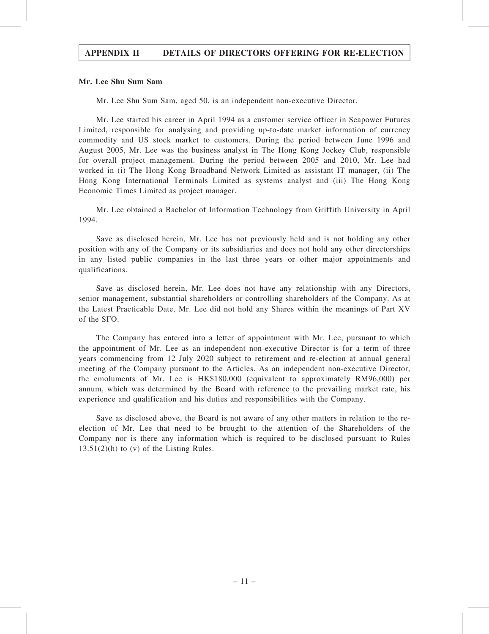# APPENDIX II DETAILS OF DIRECTORS OFFERING FOR RE-ELECTION

### Mr. Lee Shu Sum Sam

Mr. Lee Shu Sum Sam, aged 50, is an independent non-executive Director.

Mr. Lee started his career in April 1994 as a customer service officer in Seapower Futures Limited, responsible for analysing and providing up-to-date market information of currency commodity and US stock market to customers. During the period between June 1996 and August 2005, Mr. Lee was the business analyst in The Hong Kong Jockey Club, responsible for overall project management. During the period between 2005 and 2010, Mr. Lee had worked in (i) The Hong Kong Broadband Network Limited as assistant IT manager, (ii) The Hong Kong International Terminals Limited as systems analyst and (iii) The Hong Kong Economic Times Limited as project manager.

Mr. Lee obtained a Bachelor of Information Technology from Griffith University in April 1994.

Save as disclosed herein, Mr. Lee has not previously held and is not holding any other position with any of the Company or its subsidiaries and does not hold any other directorships in any listed public companies in the last three years or other major appointments and qualifications.

Save as disclosed herein, Mr. Lee does not have any relationship with any Directors, senior management, substantial shareholders or controlling shareholders of the Company. As at the Latest Practicable Date, Mr. Lee did not hold any Shares within the meanings of Part XV of the SFO.

The Company has entered into a letter of appointment with Mr. Lee, pursuant to which the appointment of Mr. Lee as an independent non-executive Director is for a term of three years commencing from 12 July 2020 subject to retirement and re-election at annual general meeting of the Company pursuant to the Articles. As an independent non-executive Director, the emoluments of Mr. Lee is HK\$180,000 (equivalent to approximately RM96,000) per annum, which was determined by the Board with reference to the prevailing market rate, his experience and qualification and his duties and responsibilities with the Company.

Save as disclosed above, the Board is not aware of any other matters in relation to the reelection of Mr. Lee that need to be brought to the attention of the Shareholders of the Company nor is there any information which is required to be disclosed pursuant to Rules  $13.51(2)(h)$  to (v) of the Listing Rules.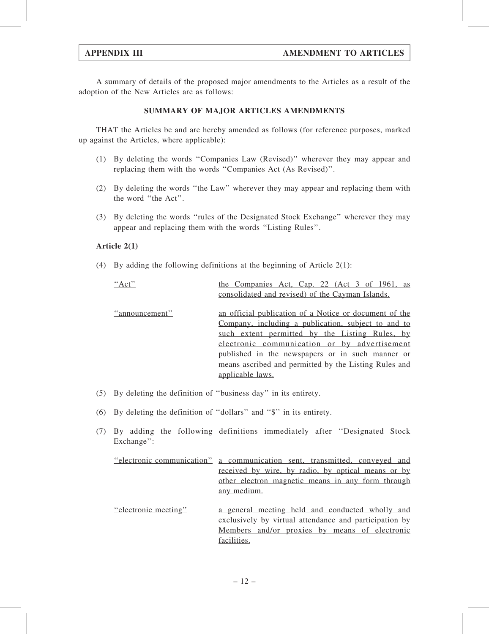A summary of details of the proposed major amendments to the Articles as a result of the adoption of the New Articles are as follows:

# SUMMARY OF MAJOR ARTICLES AMENDMENTS

THAT the Articles be and are hereby amended as follows (for reference purposes, marked up against the Articles, where applicable):

- (1) By deleting the words ''Companies Law (Revised)'' wherever they may appear and replacing them with the words ''Companies Act (As Revised)''.
- (2) By deleting the words ''the Law'' wherever they may appear and replacing them with the word ''the Act''.
- (3) By deleting the words ''rules of the Designated Stock Exchange'' wherever they may appear and replacing them with the words ''Listing Rules''.

# Article 2(1)

(4) By adding the following definitions at the beginning of Article 2(1):

| " $Act"$       | the Companies Act, Cap. 22 (Act 3 of 1961, as<br>consolidated and revised) of the Cayman Islands.                                                                                                                                                                                                                                                |
|----------------|--------------------------------------------------------------------------------------------------------------------------------------------------------------------------------------------------------------------------------------------------------------------------------------------------------------------------------------------------|
| "announcement" | an official publication of a Notice or document of the<br>Company, including a publication, subject to and to<br>such extent permitted by the Listing Rules, by<br>electronic communication or by advertisement<br>published in the newspapers or in such manner or<br>means ascribed and permitted by the Listing Rules and<br>applicable laws. |

- (5) By deleting the definition of ''business day'' in its entirety.
- (6) By deleting the definition of ''dollars'' and ''\$'' in its entirety.
- (7) By adding the following definitions immediately after ''Designated Stock Exchange'':

| <u>"electronic communication"</u> a communication sent, transmitted, conveyed and |
|-----------------------------------------------------------------------------------|
| received by wire, by radio, by optical means or by                                |
| other electron magnetic means in any form through                                 |
| any medium.                                                                       |
|                                                                                   |

''electronic meeting'' a general meeting held and conducted wholly and exclusively by virtual attendance and participation by Members and/or proxies by means of electronic facilities.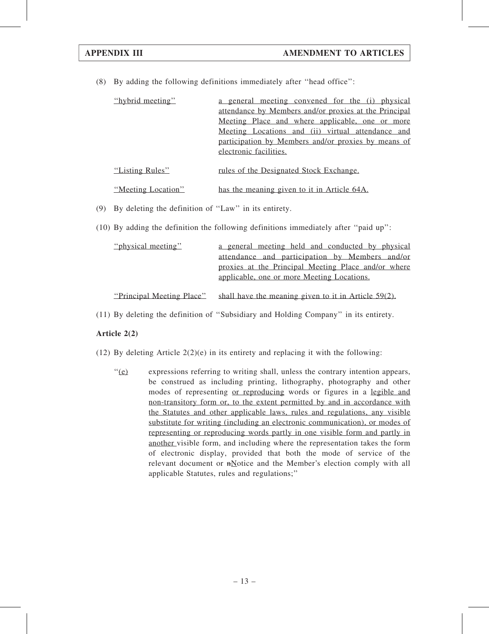(8) By adding the following definitions immediately after ''head office'':

| "hybrid meeting" | a general meeting convened for the (i) physical       |
|------------------|-------------------------------------------------------|
|                  | attendance by Members and/or proxies at the Principal |
|                  | Meeting Place and where applicable, one or more       |
|                  | Meeting Locations and (ii) virtual attendance and     |
|                  | participation by Members and/or proxies by means of   |
|                  | electronic facilities.                                |
|                  |                                                       |
| "Listing Rules"  | rules of the Designated Stock Exchange.               |

| "Meeting Location" | has the meaning given to it in Article 64A. |
|--------------------|---------------------------------------------|

- (9) By deleting the definition of ''Law'' in its entirety.
- (10) By adding the definition the following definitions immediately after ''paid up'':

| "physical meeting"        | a general meeting held and conducted by physical        |
|---------------------------|---------------------------------------------------------|
|                           | attendance and participation by Members and/or          |
|                           | proxies at the Principal Meeting Place and/or where     |
|                           | applicable, one or more Meeting Locations.              |
|                           |                                                         |
| "Principal Meeting Place" | shall have the meaning given to it in Article $59(2)$ . |

(11) By deleting the definition of ''Subsidiary and Holding Company'' in its entirety.

# Article 2(2)

- (12) By deleting Article  $2(2)(e)$  in its entirety and replacing it with the following:
	- ''(e) expressions referring to writing shall, unless the contrary intention appears, be construed as including printing, lithography, photography and other modes of representing or reproducing words or figures in a legible and non-transitory form or, to the extent permitted by and in accordance with the Statutes and other applicable laws, rules and regulations, any visible substitute for writing (including an electronic communication), or modes of representing or reproducing words partly in one visible form and partly in another visible form, and including where the representation takes the form of electronic display, provided that both the mode of service of the relevant document or  $n\pi$  Notice and the Member's election comply with all applicable Statutes, rules and regulations;''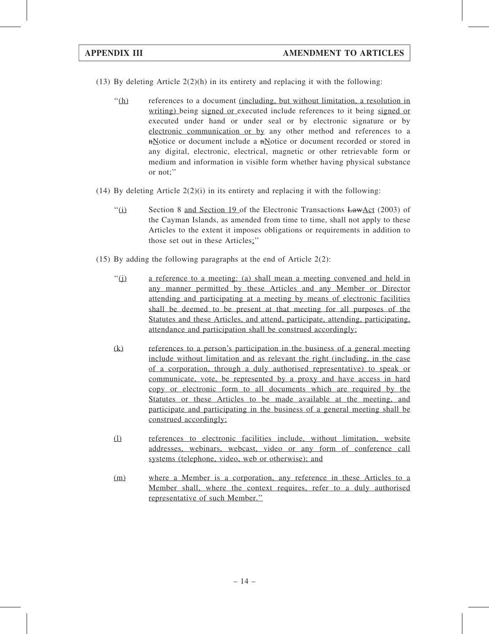- (13) By deleting Article  $2(2)(h)$  in its entirety and replacing it with the following:
	- ''(h) references to a document (including, but without limitation, a resolution in writing) being signed or executed include references to it being signed or executed under hand or under seal or by electronic signature or by electronic communication or by any other method and references to a nNotice or document include a nNotice or document recorded or stored in any digital, electronic, electrical, magnetic or other retrievable form or medium and information in visible form whether having physical substance or not;''
- (14) By deleting Article  $2(2)(i)$  in its entirety and replacing it with the following:
	- $\frac{1}{10}$  Section 8 and Section 19 of the Electronic Transactions LawAct (2003) of the Cayman Islands, as amended from time to time, shall not apply to these Articles to the extent it imposes obligations or requirements in addition to those set out in these Articles;''
- (15) By adding the following paragraphs at the end of Article 2(2):
	- ''(j) a reference to a meeting: (a) shall mean a meeting convened and held in any manner permitted by these Articles and any Member or Director attending and participating at a meeting by means of electronic facilities shall be deemed to be present at that meeting for all purposes of the Statutes and these Articles, and attend, participate, attending, participating, attendance and participation shall be construed accordingly;
	- (k) references to a person's participation in the business of a general meeting include without limitation and as relevant the right (including, in the case of a corporation, through a duly authorised representative) to speak or communicate, vote, be represented by a proxy and have access in hard copy or electronic form to all documents which are required by the Statutes or these Articles to be made available at the meeting, and participate and participating in the business of a general meeting shall be construed accordingly;
	- (l) references to electronic facilities include, without limitation, website addresses, webinars, webcast, video or any form of conference call systems (telephone, video, web or otherwise); and
	- (m) where a Member is a corporation, any reference in these Articles to a Member shall, where the context requires, refer to a duly authorised representative of such Member.''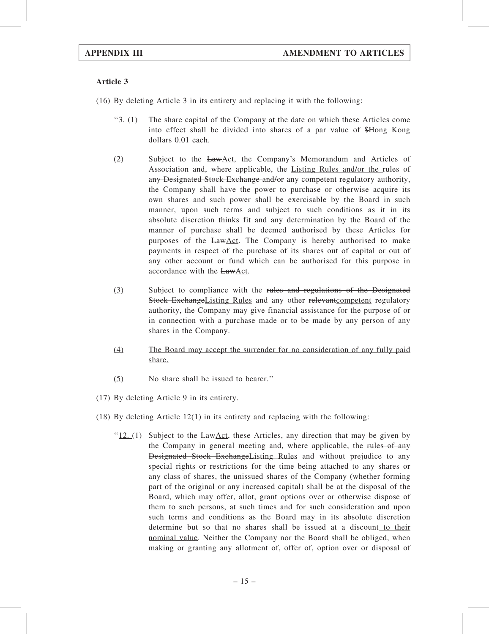- (16) By deleting Article 3 in its entirety and replacing it with the following:
	- ''3. (1) The share capital of the Company at the date on which these Articles come into effect shall be divided into shares of a par value of \$Hong Kong dollars 0.01 each.
	- (2) Subject to the LawAct, the Company's Memorandum and Articles of Association and, where applicable, the Listing Rules and/or the rules of any Designated Stock Exchange and/or any competent regulatory authority, the Company shall have the power to purchase or otherwise acquire its own shares and such power shall be exercisable by the Board in such manner, upon such terms and subject to such conditions as it in its absolute discretion thinks fit and any determination by the Board of the manner of purchase shall be deemed authorised by these Articles for purposes of the LawAct. The Company is hereby authorised to make payments in respect of the purchase of its shares out of capital or out of any other account or fund which can be authorised for this purpose in accordance with the LawAct.
	- (3) Subject to compliance with the rules and regulations of the Designated Stock ExchangeListing Rules and any other relevant competent regulatory authority, the Company may give financial assistance for the purpose of or in connection with a purchase made or to be made by any person of any shares in the Company.
	- (4) The Board may accept the surrender for no consideration of any fully paid share.
	- (5) No share shall be issued to bearer.''
- (17) By deleting Article 9 in its entirety.
- (18) By deleting Article 12(1) in its entirety and replacing with the following:
	- " $12$ . (1) Subject to the LawAct, these Articles, any direction that may be given by the Company in general meeting and, where applicable, the rules of any Designated Stock ExchangeListing Rules and without prejudice to any special rights or restrictions for the time being attached to any shares or any class of shares, the unissued shares of the Company (whether forming part of the original or any increased capital) shall be at the disposal of the Board, which may offer, allot, grant options over or otherwise dispose of them to such persons, at such times and for such consideration and upon such terms and conditions as the Board may in its absolute discretion determine but so that no shares shall be issued at a discount to their nominal value. Neither the Company nor the Board shall be obliged, when making or granting any allotment of, offer of, option over or disposal of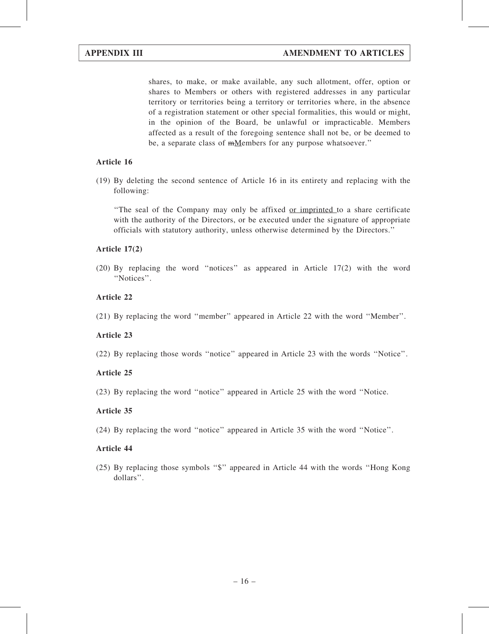shares, to make, or make available, any such allotment, offer, option or shares to Members or others with registered addresses in any particular territory or territories being a territory or territories where, in the absence of a registration statement or other special formalities, this would or might, in the opinion of the Board, be unlawful or impracticable. Members affected as a result of the foregoing sentence shall not be, or be deemed to be, a separate class of <del>m</del>Members for any purpose whatsoever."

# Article 16

(19) By deleting the second sentence of Article 16 in its entirety and replacing with the following:

''The seal of the Company may only be affixed or imprinted to a share certificate with the authority of the Directors, or be executed under the signature of appropriate officials with statutory authority, unless otherwise determined by the Directors.''

# Article 17(2)

(20) By replacing the word ''notices'' as appeared in Article 17(2) with the word "Notices".

# Article 22

# Article 23

(22) By replacing those words ''notice'' appeared in Article 23 with the words ''Notice''.

# Article 25

(23) By replacing the word ''notice'' appeared in Article 25 with the word ''Notice.

### Article 35

(24) By replacing the word ''notice'' appeared in Article 35 with the word ''Notice''.

### Article 44

(25) By replacing those symbols ''\$'' appeared in Article 44 with the words ''Hong Kong dollars''.

<sup>(21)</sup> By replacing the word ''member'' appeared in Article 22 with the word ''Member''.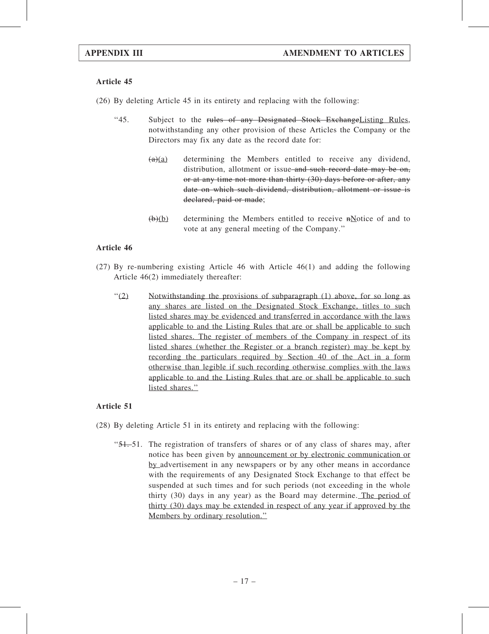(26) By deleting Article 45 in its entirety and replacing with the following:

- ''45. Subject to the rules of any Designated Stock ExchangeListing Rules, notwithstanding any other provision of these Articles the Company or the Directors may fix any date as the record date for:
	- $(a)(a)$  determining the Members entitled to receive any dividend, distribution, allotment or issue and such record date may be on, or at any time not more than thirty (30) days before or after, any date on which such dividend, distribution, allotment or issue is declared, paid or made;
	- $(b)(b)$  determining the Members entitled to receive  $m$ Notice of and to vote at any general meeting of the Company.''

# Article 46

- (27) By re-numbering existing Article 46 with Article 46(1) and adding the following Article 46(2) immediately thereafter:
	- $(2)$  Notwithstanding the provisions of subparagraph (1) above, for so long as any shares are listed on the Designated Stock Exchange, titles to such listed shares may be evidenced and transferred in accordance with the laws applicable to and the Listing Rules that are or shall be applicable to such listed shares. The register of members of the Company in respect of its listed shares (whether the Register or a branch register) may be kept by recording the particulars required by Section 40 of the Act in a form otherwise than legible if such recording otherwise complies with the laws applicable to and the Listing Rules that are or shall be applicable to such listed shares."

- (28) By deleting Article 51 in its entirety and replacing with the following:
	- $\frac{1}{51}$ . The registration of transfers of shares or of any class of shares may, after notice has been given by announcement or by electronic communication or by advertisement in any newspapers or by any other means in accordance with the requirements of any Designated Stock Exchange to that effect be suspended at such times and for such periods (not exceeding in the whole thirty (30) days in any year) as the Board may determine. The period of thirty (30) days may be extended in respect of any year if approved by the Members by ordinary resolution.''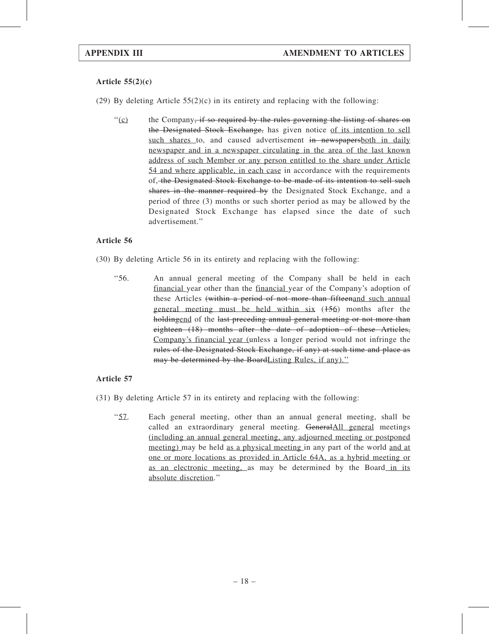# Article  $55(2)(c)$

(29) By deleting Article  $55(2)(c)$  in its entirety and replacing with the following:

 $\binom{1}{c}$  the Company<del>, if so required by the rules governing the listing of shares on</del> the Designated Stock Exchange, has given notice of its intention to sell such shares to, and caused advertisement in newspapers both in daily newspaper and in a newspaper circulating in the area of the last known address of such Member or any person entitled to the share under Article 54 and where applicable, in each case in accordance with the requirements of, the Designated Stock Exchange to be made of its intention to sell such shares in the manner required by the Designated Stock Exchange, and a period of three (3) months or such shorter period as may be allowed by the Designated Stock Exchange has elapsed since the date of such advertisement.''

# Article 56

- (30) By deleting Article 56 in its entirety and replacing with the following:
	- ''56. An annual general meeting of the Company shall be held in each financial year other than the financial year of the Company's adoption of these Articles (within a period of not more than fifteenand such annual general meeting must be held within  $six$  ( $\frac{156}{150}$ ) months after the holdingend of the last preceding annual general meeting or not more than eighteen (18) months after the date of adoption of these Articles, Company's financial year (unless a longer period would not infringe the rules of the Designated Stock Exchange, if any) at such time and place as may be determined by the BoardListing Rules, if any).''

- (31) By deleting Article 57 in its entirety and replacing with the following:
	- ''57. Each general meeting, other than an annual general meeting, shall be called an extraordinary general meeting. GeneralAll general meetings (including an annual general meeting, any adjourned meeting or postponed meeting) may be held as a physical meeting in any part of the world and at one or more locations as provided in Article 64A, as a hybrid meeting or as an electronic meeting, as may be determined by the Board in its absolute discretion.''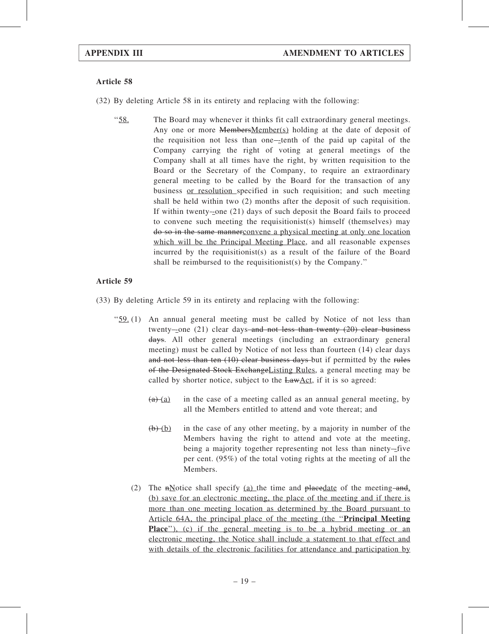- (32) By deleting Article 58 in its entirety and replacing with the following:
	- ''58. The Board may whenever it thinks fit call extraordinary general meetings. Any one or more **MembersMember(s)** holding at the date of deposit of the requisition not less than one-tenth of the paid up capital of the Company carrying the right of voting at general meetings of the Company shall at all times have the right, by written requisition to the Board or the Secretary of the Company, to require an extraordinary general meeting to be called by the Board for the transaction of any business or resolution specified in such requisition; and such meeting shall be held within two (2) months after the deposit of such requisition. If within twenty--one  $(21)$  days of such deposit the Board fails to proceed to convene such meeting the requisitionist(s) himself (themselves) may do so in the same mannerconvene a physical meeting at only one location which will be the Principal Meeting Place, and all reasonable expenses incurred by the requisitionist(s) as a result of the failure of the Board shall be reimbursed to the requisitionist(s) by the Company.''

- (33) By deleting Article 59 in its entirety and replacing with the following:
	- " $59.$  (1) An annual general meeting must be called by Notice of not less than twenty-one  $(21)$  clear days-and not less than twenty  $(20)$  clear business days. All other general meetings (including an extraordinary general meeting) must be called by Notice of not less than fourteen (14) clear days and not less than ten (10) clear business days but if permitted by the rules of the Designated Stock ExchangeListing Rules, a general meeting may be called by shorter notice, subject to the  $EawAct$ , if it is so agreed:
		- $(a)$  (a) in the case of a meeting called as an annual general meeting, by all the Members entitled to attend and vote thereat; and
		- $(b)$  (b) in the case of any other meeting, by a majority in number of the Members having the right to attend and vote at the meeting, being a majority together representing not less than ninety-five per cent. (95%) of the total voting rights at the meeting of all the Members.
		- (2) The  $n\text{Notice shall specify (a) the time and *placedate* of the meeting  $-and$ ,$ (b) save for an electronic meeting, the place of the meeting and if there is more than one meeting location as determined by the Board pursuant to Article 64A, the principal place of the meeting (the ''Principal Meeting Place"), (c) if the general meeting is to be a hybrid meeting or an electronic meeting, the Notice shall include a statement to that effect and with details of the electronic facilities for attendance and participation by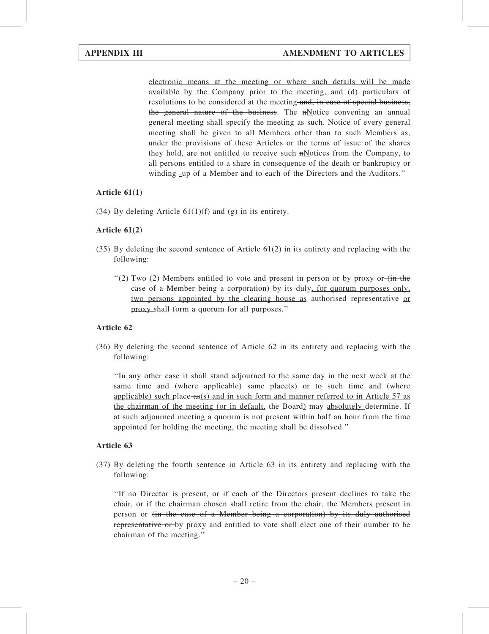electronic means at the meeting or where such details will be made available by the Company prior to the meeting, and (d) particulars of resolutions to be considered at the meeting and, in case of special business, the general nature of the business. The  $n$ Notice convening an annual general meeting shall specify the meeting as such. Notice of every general meeting shall be given to all Members other than to such Members as, under the provisions of these Articles or the terms of issue of the shares they hold, are not entitled to receive such  $n$  motices from the Company, to all persons entitled to a share in consequence of the death or bankruptcy or winding-up of a Member and to each of the Directors and the Auditors."

# Article 61(1)

(34) By deleting Article  $61(1)(f)$  and (g) in its entirety.

# Article 61(2)

- (35) By deleting the second sentence of Article 61(2) in its entirety and replacing with the following:
	- $(2)$  Two (2) Members entitled to vote and present in person or by proxy or  $\overline{(in the)}$ case of a Member being a corporation) by its duly, for quorum purposes only, two persons appointed by the clearing house as authorised representative or proxy shall form a quorum for all purposes.''

# Article 62

(36) By deleting the second sentence of Article 62 in its entirety and replacing with the following:

''In any other case it shall stand adjourned to the same day in the next week at the same time and (where applicable) same place(s) or to such time and (where applicable) such place  $-as(s)$  and in such form and manner referred to in Article 57 as the chairman of the meeting (or in default, the Board) may absolutely determine. If at such adjourned meeting a quorum is not present within half an hour from the time appointed for holding the meeting, the meeting shall be dissolved.''

# Article 63

(37) By deleting the fourth sentence in Article 63 in its entirety and replacing with the following:

''If no Director is present, or if each of the Directors present declines to take the chair, or if the chairman chosen shall retire from the chair, the Members present in person or (in the case of a Member being a corporation) by its duly authorised representative or by proxy and entitled to vote shall elect one of their number to be chairman of the meeting.''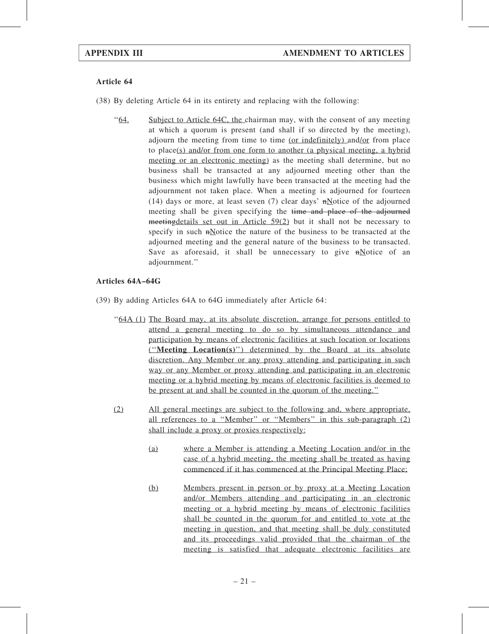- (38) By deleting Article 64 in its entirety and replacing with the following:
	- ''64. Subject to Article 64C, the chairman may, with the consent of any meeting at which a quorum is present (and shall if so directed by the meeting), adjourn the meeting from time to time (or indefinitely) and/or from place to place(s) and/or from one form to another (a physical meeting, a hybrid meeting or an electronic meeting) as the meeting shall determine, but no business shall be transacted at any adjourned meeting other than the business which might lawfully have been transacted at the meeting had the adjournment not taken place. When a meeting is adjourned for fourteen (14) days or more, at least seven (7) clear days'  $n$ Notice of the adjourned meeting shall be given specifying the time and place of the adjourned meetingdetails set out in Article 59(2) but it shall not be necessary to specify in such  $\frac{H}{R}$  and  $\frac{H}{R}$  and  $\frac{H}{R}$  and  $\frac{H}{R}$  be transacted at the adjourned meeting and the general nature of the business to be transacted. Save as aforesaid, it shall be unnecessary to give  $n$ Notice of an adjournment.''

# Articles 64A–64G

- (39) By adding Articles 64A to 64G immediately after Article 64:
	- ''64A (1) The Board may, at its absolute discretion, arrange for persons entitled to attend a general meeting to do so by simultaneous attendance and participation by means of electronic facilities at such location or locations (''Meeting Location(s)'') determined by the Board at its absolute discretion. Any Member or any proxy attending and participating in such way or any Member or proxy attending and participating in an electronic meeting or a hybrid meeting by means of electronic facilities is deemed to be present at and shall be counted in the quorum of the meeting.''
	- (2) All general meetings are subject to the following and, where appropriate, all references to a ''Member'' or ''Members'' in this sub-paragraph (2) shall include a proxy or proxies respectively:
		- (a) where a Member is attending a Meeting Location and/or in the case of a hybrid meeting, the meeting shall be treated as having commenced if it has commenced at the Principal Meeting Place;
		- (b) Members present in person or by proxy at a Meeting Location and/or Members attending and participating in an electronic meeting or a hybrid meeting by means of electronic facilities shall be counted in the quorum for and entitled to vote at the meeting in question, and that meeting shall be duly constituted and its proceedings valid provided that the chairman of the meeting is satisfied that adequate electronic facilities are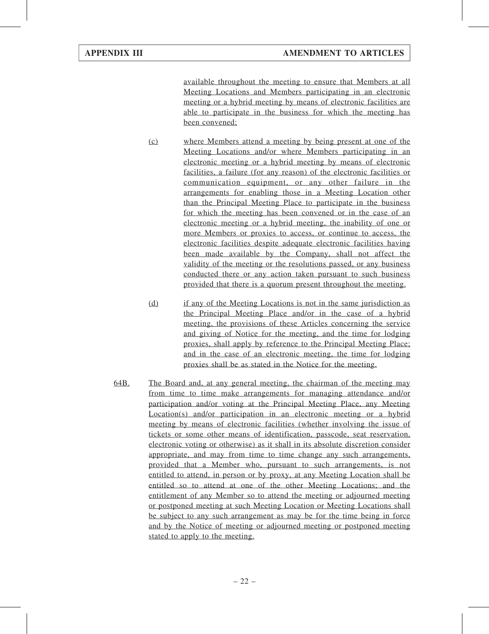available throughout the meeting to ensure that Members at all Meeting Locations and Members participating in an electronic meeting or a hybrid meeting by means of electronic facilities are able to participate in the business for which the meeting has been convened;

- (c) where Members attend a meeting by being present at one of the Meeting Locations and/or where Members participating in an electronic meeting or a hybrid meeting by means of electronic facilities, a failure (for any reason) of the electronic facilities or communication equipment, or any other failure in the arrangements for enabling those in a Meeting Location other than the Principal Meeting Place to participate in the business for which the meeting has been convened or in the case of an electronic meeting or a hybrid meeting, the inability of one or more Members or proxies to access, or continue to access, the electronic facilities despite adequate electronic facilities having been made available by the Company, shall not affect the validity of the meeting or the resolutions passed, or any business conducted there or any action taken pursuant to such business provided that there is a quorum present throughout the meeting.
- (d) if any of the Meeting Locations is not in the same jurisdiction as the Principal Meeting Place and/or in the case of a hybrid meeting, the provisions of these Articles concerning the service and giving of Notice for the meeting, and the time for lodging proxies, shall apply by reference to the Principal Meeting Place; and in the case of an electronic meeting, the time for lodging proxies shall be as stated in the Notice for the meeting.
- 64B. The Board and, at any general meeting, the chairman of the meeting may from time to time make arrangements for managing attendance and/or participation and/or voting at the Principal Meeting Place, any Meeting Location(s) and/or participation in an electronic meeting or a hybrid meeting by means of electronic facilities (whether involving the issue of tickets or some other means of identification, passcode, seat reservation, electronic voting or otherwise) as it shall in its absolute discretion consider appropriate, and may from time to time change any such arrangements, provided that a Member who, pursuant to such arrangements, is not entitled to attend, in person or by proxy, at any Meeting Location shall be entitled so to attend at one of the other Meeting Locations; and the entitlement of any Member so to attend the meeting or adjourned meeting or postponed meeting at such Meeting Location or Meeting Locations shall be subject to any such arrangement as may be for the time being in force and by the Notice of meeting or adjourned meeting or postponed meeting stated to apply to the meeting.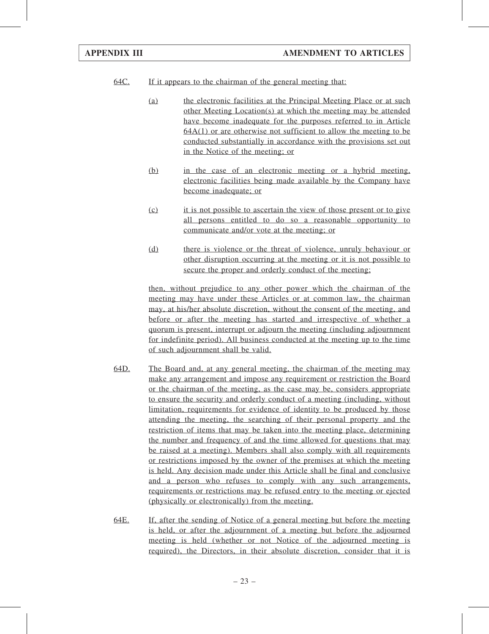- 64C. If it appears to the chairman of the general meeting that:
	- (a) the electronic facilities at the Principal Meeting Place or at such other Meeting Location(s) at which the meeting may be attended have become inadequate for the purposes referred to in Article 64A(1) or are otherwise not sufficient to allow the meeting to be conducted substantially in accordance with the provisions set out in the Notice of the meeting; or
	- (b) in the case of an electronic meeting or a hybrid meeting, electronic facilities being made available by the Company have become inadequate; or
	- (c) it is not possible to ascertain the view of those present or to give all persons entitled to do so a reasonable opportunity to communicate and/or vote at the meeting; or
	- (d) there is violence or the threat of violence, unruly behaviour or other disruption occurring at the meeting or it is not possible to secure the proper and orderly conduct of the meeting;

then, without prejudice to any other power which the chairman of the meeting may have under these Articles or at common law, the chairman may, at his/her absolute discretion, without the consent of the meeting, and before or after the meeting has started and irrespective of whether a quorum is present, interrupt or adjourn the meeting (including adjournment for indefinite period). All business conducted at the meeting up to the time of such adjournment shall be valid.

- 64D. The Board and, at any general meeting, the chairman of the meeting may make any arrangement and impose any requirement or restriction the Board or the chairman of the meeting, as the case may be, considers appropriate to ensure the security and orderly conduct of a meeting (including, without limitation, requirements for evidence of identity to be produced by those attending the meeting, the searching of their personal property and the restriction of items that may be taken into the meeting place, determining the number and frequency of and the time allowed for questions that may be raised at a meeting). Members shall also comply with all requirements or restrictions imposed by the owner of the premises at which the meeting is held. Any decision made under this Article shall be final and conclusive and a person who refuses to comply with any such arrangements, requirements or restrictions may be refused entry to the meeting or ejected (physically or electronically) from the meeting.
- 64E. If, after the sending of Notice of a general meeting but before the meeting is held, or after the adjournment of a meeting but before the adjourned meeting is held (whether or not Notice of the adjourned meeting is required), the Directors, in their absolute discretion, consider that it is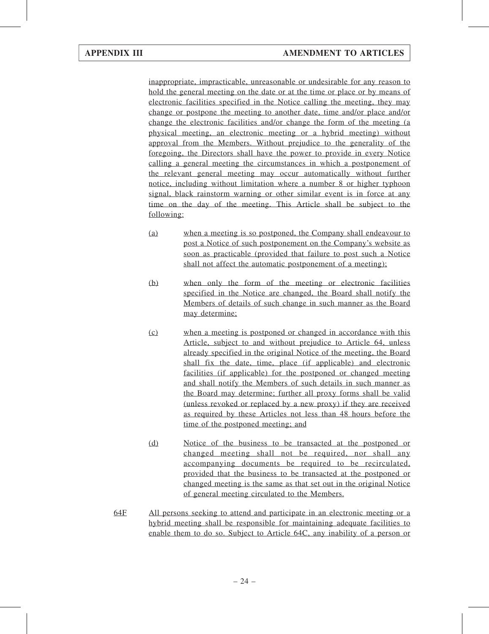inappropriate, impracticable, unreasonable or undesirable for any reason to hold the general meeting on the date or at the time or place or by means of electronic facilities specified in the Notice calling the meeting, they may change or postpone the meeting to another date, time and/or place and/or change the electronic facilities and/or change the form of the meeting (a physical meeting, an electronic meeting or a hybrid meeting) without approval from the Members. Without prejudice to the generality of the foregoing, the Directors shall have the power to provide in every Notice calling a general meeting the circumstances in which a postponement of the relevant general meeting may occur automatically without further notice, including without limitation where a number 8 or higher typhoon signal, black rainstorm warning or other similar event is in force at any time on the day of the meeting. This Article shall be subject to the following:

- (a) when a meeting is so postponed, the Company shall endeavour to post a Notice of such postponement on the Company's website as soon as practicable (provided that failure to post such a Notice shall not affect the automatic postponement of a meeting);
- (b) when only the form of the meeting or electronic facilities specified in the Notice are changed, the Board shall notify the Members of details of such change in such manner as the Board may determine;
- (c) when a meeting is postponed or changed in accordance with this Article, subject to and without prejudice to Article 64, unless already specified in the original Notice of the meeting, the Board shall fix the date, time, place (if applicable) and electronic facilities (if applicable) for the postponed or changed meeting and shall notify the Members of such details in such manner as the Board may determine; further all proxy forms shall be valid (unless revoked or replaced by a new proxy) if they are received as required by these Articles not less than 48 hours before the time of the postponed meeting; and
- (d) Notice of the business to be transacted at the postponed or changed meeting shall not be required, nor shall any accompanying documents be required to be recirculated, provided that the business to be transacted at the postponed or changed meeting is the same as that set out in the original Notice of general meeting circulated to the Members.
- 64F All persons seeking to attend and participate in an electronic meeting or a hybrid meeting shall be responsible for maintaining adequate facilities to enable them to do so. Subject to Article 64C, any inability of a person or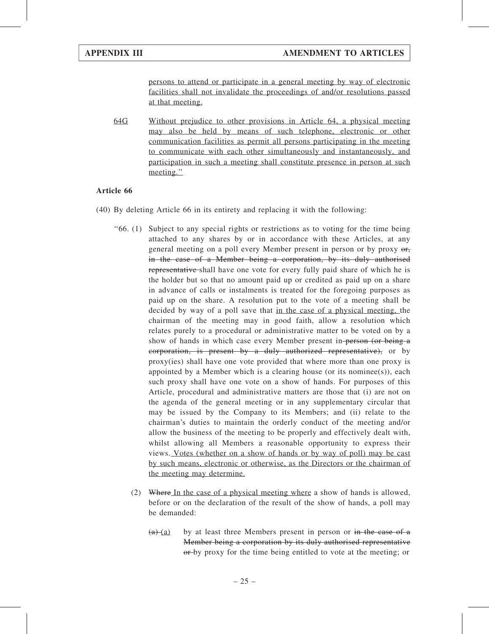persons to attend or participate in a general meeting by way of electronic facilities shall not invalidate the proceedings of and/or resolutions passed at that meeting.

64G Without prejudice to other provisions in Article 64, a physical meeting may also be held by means of such telephone, electronic or other communication facilities as permit all persons participating in the meeting to communicate with each other simultaneously and instantaneously, and participation in such a meeting shall constitute presence in person at such meeting.''

- (40) By deleting Article 66 in its entirety and replacing it with the following:
	- ''66. (1) Subject to any special rights or restrictions as to voting for the time being attached to any shares by or in accordance with these Articles, at any general meeting on a poll every Member present in person or by proxy  $\theta$ , in the case of a Member being a corporation, by its duly authorised representative shall have one vote for every fully paid share of which he is the holder but so that no amount paid up or credited as paid up on a share in advance of calls or instalments is treated for the foregoing purposes as paid up on the share. A resolution put to the vote of a meeting shall be decided by way of a poll save that in the case of a physical meeting, the chairman of the meeting may in good faith, allow a resolution which relates purely to a procedural or administrative matter to be voted on by a show of hands in which case every Member present in person (or being a corporation, is present by a duly authorized representative), or by proxy(ies) shall have one vote provided that where more than one proxy is appointed by a Member which is a clearing house (or its nominee(s)), each such proxy shall have one vote on a show of hands. For purposes of this Article, procedural and administrative matters are those that (i) are not on the agenda of the general meeting or in any supplementary circular that may be issued by the Company to its Members; and (ii) relate to the chairman's duties to maintain the orderly conduct of the meeting and/or allow the business of the meeting to be properly and effectively dealt with, whilst allowing all Members a reasonable opportunity to express their views. Votes (whether on a show of hands or by way of poll) may be cast by such means, electronic or otherwise, as the Directors or the chairman of the meeting may determine.
		- (2) Where In the case of a physical meeting where a show of hands is allowed, before or on the declaration of the result of the show of hands, a poll may be demanded:
			- $(a)$  (a) by at least three Members present in person or in the case of a Member being a corporation by its duly authorised representative or-by proxy for the time being entitled to vote at the meeting; or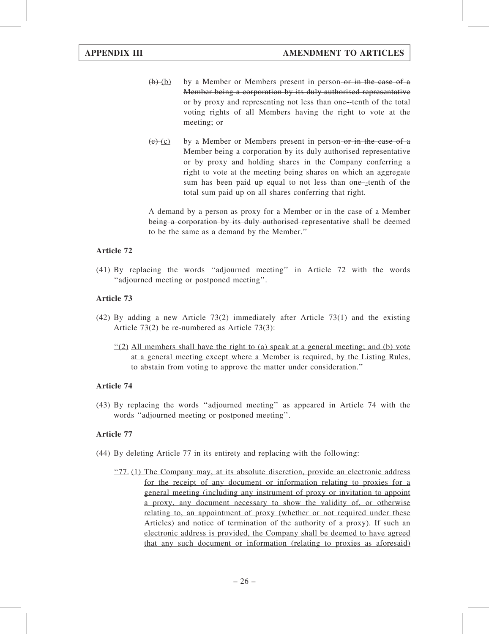- $(b)$  (b) by a Member or Members present in person-or in the case of a Member being a corporation by its duly authorised representative or by proxy and representing not less than one-tenth of the total voting rights of all Members having the right to vote at the meeting; or
- $(e)$  (c) by a Member or Members present in person-or in the case of a Member being a corporation by its duly authorised representative or by proxy and holding shares in the Company conferring a right to vote at the meeting being shares on which an aggregate sum has been paid up equal to not less than one-tenth of the total sum paid up on all shares conferring that right.

A demand by a person as proxy for a Member-or in the case of a Member being a corporation by its duly authorised representative shall be deemed to be the same as a demand by the Member.''

# Article 72

(41) By replacing the words ''adjourned meeting'' in Article 72 with the words ''adjourned meeting or postponed meeting''.

# Article 73

- (42) By adding a new Article 73(2) immediately after Article 73(1) and the existing Article 73(2) be re-numbered as Article 73(3):
	- $\frac{1}{2}$  All members shall have the right to (a) speak at a general meeting; and (b) vote at a general meeting except where a Member is required, by the Listing Rules, to abstain from voting to approve the matter under consideration.''

# Article 74

(43) By replacing the words ''adjourned meeting'' as appeared in Article 74 with the words ''adjourned meeting or postponed meeting''.

- (44) By deleting Article 77 in its entirety and replacing with the following:
	- $\frac{1000}{27}$ . (1) The Company may, at its absolute discretion, provide an electronic address for the receipt of any document or information relating to proxies for a general meeting (including any instrument of proxy or invitation to appoint a proxy, any document necessary to show the validity of, or otherwise relating to, an appointment of proxy (whether or not required under these Articles) and notice of termination of the authority of a proxy). If such an electronic address is provided, the Company shall be deemed to have agreed that any such document or information (relating to proxies as aforesaid)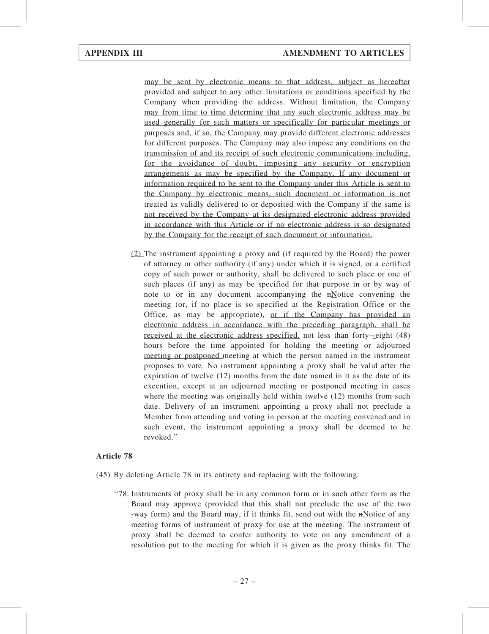may be sent by electronic means to that address, subject as hereafter provided and subject to any other limitations or conditions specified by the Company when providing the address. Without limitation, the Company may from time to time determine that any such electronic address may be used generally for such matters or specifically for particular meetings or purposes and, if so, the Company may provide different electronic addresses for different purposes. The Company may also impose any conditions on the transmission of and its receipt of such electronic communications including, for the avoidance of doubt, imposing any security or encryption arrangements as may be specified by the Company. If any document or information required to be sent to the Company under this Article is sent to the Company by electronic means, such document or information is not treated as validly delivered to or deposited with the Company if the same is not received by the Company at its designated electronic address provided in accordance with this Article or if no electronic address is so designated by the Company for the receipt of such document or information.

(2) The instrument appointing a proxy and (if required by the Board) the power of attorney or other authority (if any) under which it is signed, or a certified copy of such power or authority, shall be delivered to such place or one of such places (if any) as may be specified for that purpose in or by way of note to or in any document accompanying the  $n\Delta$  otice convening the meeting (or, if no place is so specified at the Registration Office or the Office, as may be appropriate), or if the Company has provided an electronic address in accordance with the preceding paragraph, shall be received at the electronic address specified, not less than forty-eight (48) hours before the time appointed for holding the meeting or adjourned meeting or postponed meeting at which the person named in the instrument proposes to vote. No instrument appointing a proxy shall be valid after the expiration of twelve (12) months from the date named in it as the date of its execution, except at an adjourned meeting or postponed meeting in cases where the meeting was originally held within twelve (12) months from such date. Delivery of an instrument appointing a proxy shall not preclude a Member from attending and voting in person at the meeting convened and in such event, the instrument appointing a proxy shall be deemed to be revoked.''

- (45) By deleting Article 78 in its entirety and replacing with the following:
	- ''78. Instruments of proxy shall be in any common form or in such other form as the Board may approve (provided that this shall not preclude the use of the two -way form) and the Board may, if it thinks fit, send out with the  $n\text{Notice of any}$ meeting forms of instrument of proxy for use at the meeting. The instrument of proxy shall be deemed to confer authority to vote on any amendment of a resolution put to the meeting for which it is given as the proxy thinks fit. The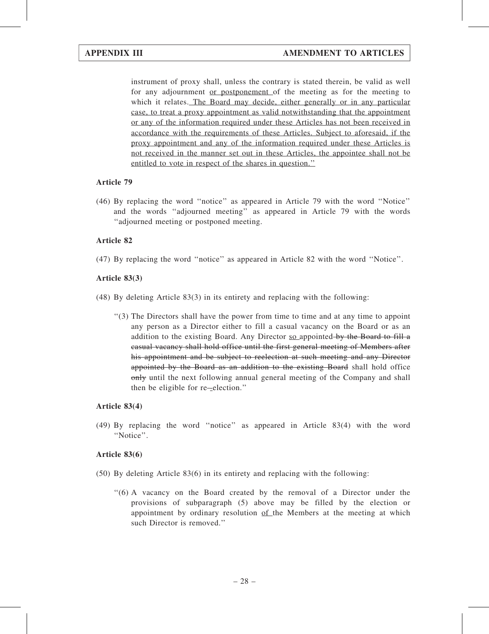instrument of proxy shall, unless the contrary is stated therein, be valid as well for any adjournment or postponement of the meeting as for the meeting to which it relates. The Board may decide, either generally or in any particular case, to treat a proxy appointment as valid notwithstanding that the appointment or any of the information required under these Articles has not been received in accordance with the requirements of these Articles. Subject to aforesaid, if the proxy appointment and any of the information required under these Articles is not received in the manner set out in these Articles, the appointee shall not be entitled to vote in respect of the shares in question.''

# Article 79

(46) By replacing the word ''notice'' as appeared in Article 79 with the word ''Notice'' and the words ''adjourned meeting'' as appeared in Article 79 with the words ''adjourned meeting or postponed meeting.

# Article 82

(47) By replacing the word ''notice'' as appeared in Article 82 with the word ''Notice''.

# Article 83(3)

- (48) By deleting Article 83(3) in its entirety and replacing with the following:
	- ''(3) The Directors shall have the power from time to time and at any time to appoint any person as a Director either to fill a casual vacancy on the Board or as an addition to the existing Board. Any Director  $\frac{1}{2}$  suppointed by the Board to fill a casual vacancy shall hold office until the first general meeting of Members after his appointment and be subject to reelection at such meeting and any Director appointed by the Board as an addition to the existing Board shall hold office only until the next following annual general meeting of the Company and shall then be eligible for re-election."

### Article 83(4)

(49) By replacing the word ''notice'' as appeared in Article 83(4) with the word "Notice".

### Article 83(6)

- (50) By deleting Article 83(6) in its entirety and replacing with the following:
	- ''(6) A vacancy on the Board created by the removal of a Director under the provisions of subparagraph (5) above may be filled by the election or appointment by ordinary resolution of the Members at the meeting at which such Director is removed.''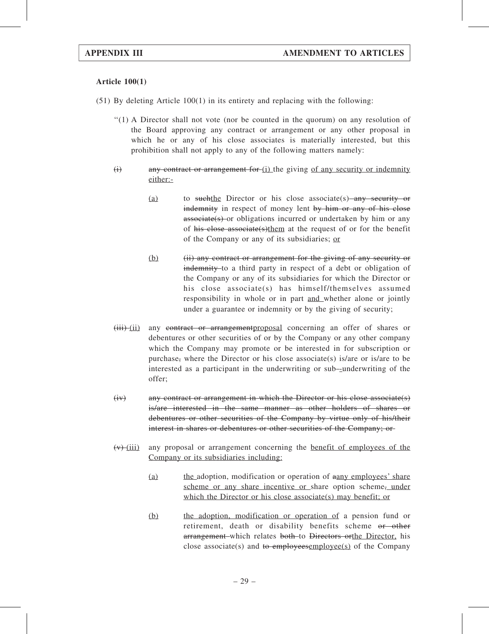# Article 100(1)

- (51) By deleting Article 100(1) in its entirety and replacing with the following:
	- ''(1) A Director shall not vote (nor be counted in the quorum) on any resolution of the Board approving any contract or arrangement or any other proposal in which he or any of his close associates is materially interested, but this prohibition shall not apply to any of the following matters namely:
	- $(i)$  any contract or arrangement for  $(i)$  the giving of any security or indemnity either:-
		- (a) to suchthe Director or his close associate(s) any security or indemnity in respect of money lent by him or any of his close associate(s) or obligations incurred or undertaken by him or any of his close associate(s)them at the request of or for the benefit of the Company or any of its subsidiaries; or
		- (b) (ii) any contract or arrangement for the giving of any security or indemnity to a third party in respect of a debt or obligation of the Company or any of its subsidiaries for which the Director or his close associate(s) has himself/themselves assumed responsibility in whole or in part and whether alone or jointly under a guarantee or indemnity or by the giving of security;
	- (iii) (ii) any contract or arrangementproposal concerning an offer of shares or debentures or other securities of or by the Company or any other company which the Company may promote or be interested in for subscription or purchase, where the Director or his close associate(s) is/are or is/are to be interested as a participant in the underwriting or sub-underwriting of the offer;
	- (iv) any contract or arrangement in which the Director or his close associate(s) is/are interested in the same manner as other holders of shares or debentures or other securities of the Company by virtue only of his/their interest in shares or debentures or other securities of the Company; or
	- $(v)$ -(iii) any proposal or arrangement concerning the <u>benefit of employees of the</u> Company or its subsidiaries including:
		- (a) the adoption, modification or operation of aany employees' share scheme or any share incentive or share option scheme, under which the Director or his close associate(s) may benefit; or
		- (b) the adoption, modification or operation of a pension fund or retirement, death or disability benefits scheme or other arrangement which relates both to Directors orthe Director, his close associate(s) and to employeesemployee(s) of the Company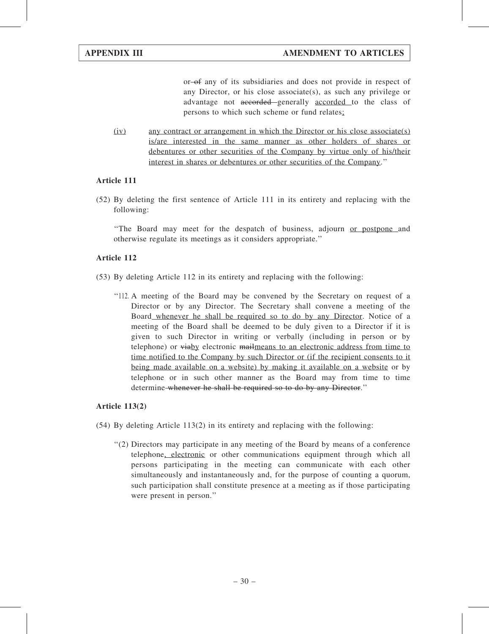or-of any of its subsidiaries and does not provide in respect of any Director, or his close associate(s), as such any privilege or advantage not accorded generally accorded to the class of persons to which such scheme or fund relates;

(iv) any contract or arrangement in which the Director or his close associate(s) is/are interested in the same manner as other holders of shares or debentures or other securities of the Company by virtue only of his/their interest in shares or debentures or other securities of the Company.''

# Article 111

(52) By deleting the first sentence of Article 111 in its entirety and replacing with the following:

''The Board may meet for the despatch of business, adjourn or postpone and otherwise regulate its meetings as it considers appropriate.''

# Article 112

- (53) By deleting Article 112 in its entirety and replacing with the following:
	- ''112. A meeting of the Board may be convened by the Secretary on request of a Director or by any Director. The Secretary shall convene a meeting of the Board whenever he shall be required so to do by any Director. Notice of a meeting of the Board shall be deemed to be duly given to a Director if it is given to such Director in writing or verbally (including in person or by telephone) or  $\psi$ iaby electronic mailmeans to an electronic address from time to time notified to the Company by such Director or (if the recipient consents to it being made available on a website) by making it available on a website or by telephone or in such other manner as the Board may from time to time determine whenever he shall be required so to do by any Director."

# Article 113(2)

- $(54)$  By deleting Article 113(2) in its entirety and replacing with the following:
	- ''(2) Directors may participate in any meeting of the Board by means of a conference telephone, electronic or other communications equipment through which all persons participating in the meeting can communicate with each other simultaneously and instantaneously and, for the purpose of counting a quorum, such participation shall constitute presence at a meeting as if those participating were present in person.''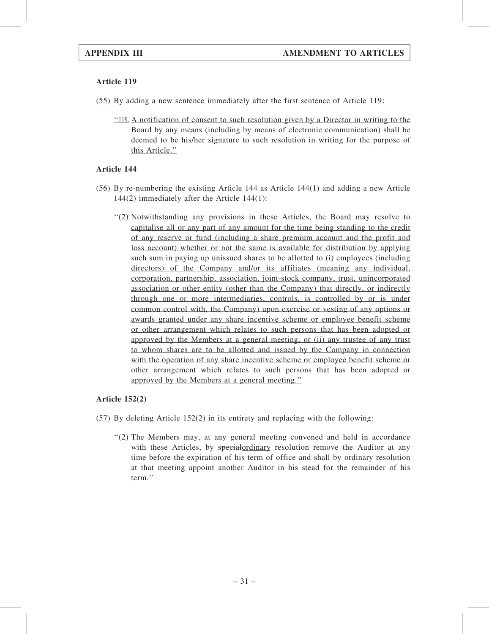- (55) By adding a new sentence immediately after the first sentence of Article 119:
	- ''119. A notification of consent to such resolution given by a Director in writing to the Board by any means (including by means of electronic communication) shall be deemed to be his/her signature to such resolution in writing for the purpose of this Article.''

# Article 144

- (56) By re-numbering the existing Article 144 as Article 144(1) and adding a new Article 144(2) immediately after the Article 144(1):
	- ''(2) Notwithstanding any provisions in these Articles, the Board may resolve to capitalise all or any part of any amount for the time being standing to the credit of any reserve or fund (including a share premium account and the profit and loss account) whether or not the same is available for distribution by applying such sum in paying up unissued shares to be allotted to (i) employees (including directors) of the Company and/or its affiliates (meaning any individual, corporation, partnership, association, joint-stock company, trust, unincorporated association or other entity (other than the Company) that directly, or indirectly through one or more intermediaries, controls, is controlled by or is under common control with, the Company) upon exercise or vesting of any options or awards granted under any share incentive scheme or employee benefit scheme or other arrangement which relates to such persons that has been adopted or approved by the Members at a general meeting, or (ii) any trustee of any trust to whom shares are to be allotted and issued by the Company in connection with the operation of any share incentive scheme or employee benefit scheme or other arrangement which relates to such persons that has been adopted or approved by the Members at a general meeting.''

# Article 152(2)

- (57) By deleting Article 152(2) in its entirety and replacing with the following:
	- ''(2) The Members may, at any general meeting convened and held in accordance with these Articles, by special ordinary resolution remove the Auditor at any time before the expiration of his term of office and shall by ordinary resolution at that meeting appoint another Auditor in his stead for the remainder of his term.''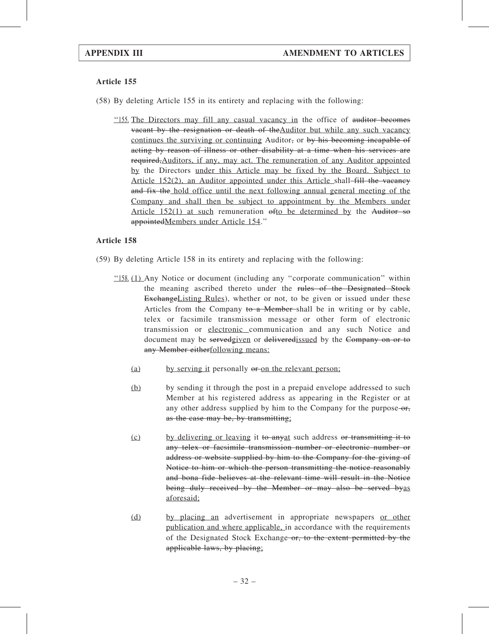(58) By deleting Article 155 in its entirety and replacing with the following:

''155. The Directors may fill any casual vacancy in the office of auditor becomes vacant by the resignation or death of theAuditor but while any such vacancy continues the surviving or continuing Auditor, or by his becoming incapable of acting by reason of illness or other disability at a time when his services are required,Auditors, if any, may act. The remuneration of any Auditor appointed by the Directors under this Article may be fixed by the Board. Subject to Article 152(2), an Auditor appointed under this Article shall-fill the vacancy and fix the hold office until the next following annual general meeting of the Company and shall then be subject to appointment by the Members under Article  $152(1)$  at such remuneration  $\theta$ fo be determined by the Auditor so appointedMembers under Article 154.''

- (59) By deleting Article 158 in its entirety and replacing with the following:
	- ''158. (1) Any Notice or document (including any ''corporate communication'' within the meaning ascribed thereto under the rules of the Designated Stock ExchangeListing Rules), whether or not, to be given or issued under these Articles from the Company to a Member-shall be in writing or by cable, telex or facsimile transmission message or other form of electronic transmission or electronic communication and any such Notice and document may be servedgiven or deliveredissued by the Company on or to any Member eitherfollowing means:
		- (a) by serving it personally or on the relevant person;
		- (b) by sending it through the post in a prepaid envelope addressed to such Member at his registered address as appearing in the Register or at any other address supplied by him to the Company for the purpose-or, as the case may be, by transmitting;
		- (c) by delivering or leaving it to anyat such address or transmitting it to any telex or facsimile transmission number or electronic number or address or website supplied by him to the Company for the giving of Notice to him or which the person transmitting the notice reasonably and bona fide believes at the relevant time will result in the Notice being duly received by the Member or may also be served by as aforesaid;
		- (d) by placing an advertisement in appropriate newspapers or other publication and where applicable, in accordance with the requirements of the Designated Stock Exchange or, to the extent permitted by the applicable laws, by placing;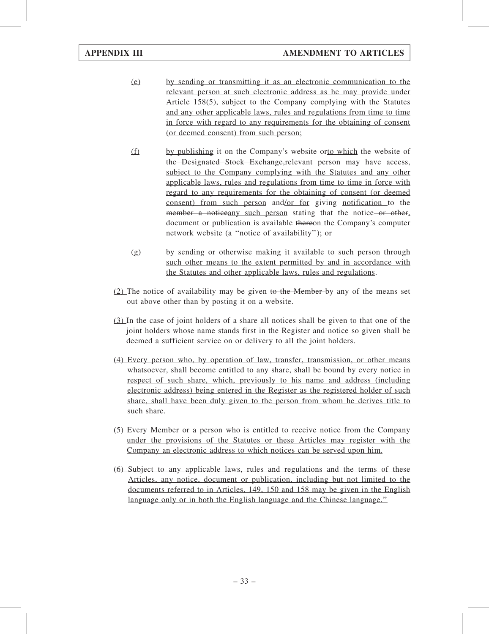- (e) by sending or transmitting it as an electronic communication to the relevant person at such electronic address as he may provide under Article 158(5), subject to the Company complying with the Statutes and any other applicable laws, rules and regulations from time to time in force with regard to any requirements for the obtaining of consent (or deemed consent) from such person;
- (f) by publishing it on the Company's website orto which the website of the Designated Stock Exchange,relevant person may have access, subject to the Company complying with the Statutes and any other applicable laws, rules and regulations from time to time in force with regard to any requirements for the obtaining of consent (or deemed consent) from such person and/or for giving notification to the member a noticeany such person stating that the notice or other, document or publication is available thereon the Company's computer network website (a "notice of availability"); or
- (g) by sending or otherwise making it available to such person through such other means to the extent permitted by and in accordance with the Statutes and other applicable laws, rules and regulations.
- (2) The notice of availability may be given to the Member by any of the means set out above other than by posting it on a website.
- (3) In the case of joint holders of a share all notices shall be given to that one of the joint holders whose name stands first in the Register and notice so given shall be deemed a sufficient service on or delivery to all the joint holders.
- (4) Every person who, by operation of law, transfer, transmission, or other means whatsoever, shall become entitled to any share, shall be bound by every notice in respect of such share, which, previously to his name and address (including electronic address) being entered in the Register as the registered holder of such share, shall have been duly given to the person from whom he derives title to such share.
- (5) Every Member or a person who is entitled to receive notice from the Company under the provisions of the Statutes or these Articles may register with the Company an electronic address to which notices can be served upon him.
- (6) Subject to any applicable laws, rules and regulations and the terms of these Articles, any notice, document or publication, including but not limited to the documents referred to in Articles, 149, 150 and 158 may be given in the English language only or in both the English language and the Chinese language.''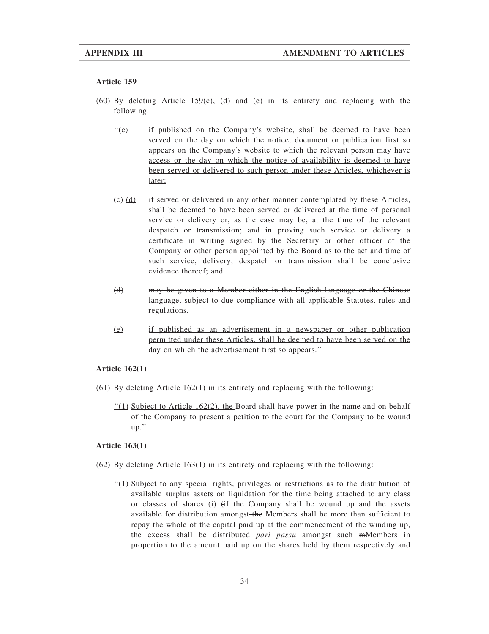- (60) By deleting Article 159(c), (d) and (e) in its entirety and replacing with the following:
	- "(c) if published on the Company's website, shall be deemed to have been served on the day on which the notice, document or publication first so appears on the Company's website to which the relevant person may have access or the day on which the notice of availability is deemed to have been served or delivered to such person under these Articles, whichever is later;
	- $(e)$  (d) if served or delivered in any other manner contemplated by these Articles, shall be deemed to have been served or delivered at the time of personal service or delivery or, as the case may be, at the time of the relevant despatch or transmission; and in proving such service or delivery a certificate in writing signed by the Secretary or other officer of the Company or other person appointed by the Board as to the act and time of such service, delivery, despatch or transmission shall be conclusive evidence thereof; and
	- (d) may be given to a Member either in the English language or the Chinese language, subject to due compliance with all applicable Statutes, rules and regulations.
	- (e) if published as an advertisement in a newspaper or other publication permitted under these Articles, shall be deemed to have been served on the day on which the advertisement first so appears."

### Article 162(1)

- $(61)$  By deleting Article 162(1) in its entirety and replacing with the following:
	- $\frac{1}{2}(1)$  Subject to Article 162(2), the Board shall have power in the name and on behalf of the Company to present a petition to the court for the Company to be wound up.''

# Article 163(1)

- (62) By deleting Article 163(1) in its entirety and replacing with the following:
	- ''(1) Subject to any special rights, privileges or restrictions as to the distribution of available surplus assets on liquidation for the time being attached to any class or classes of shares (i) (if the Company shall be wound up and the assets available for distribution amongst-the Members shall be more than sufficient to repay the whole of the capital paid up at the commencement of the winding up, the excess shall be distributed *pari passu* amongst such  $mM$ embers in proportion to the amount paid up on the shares held by them respectively and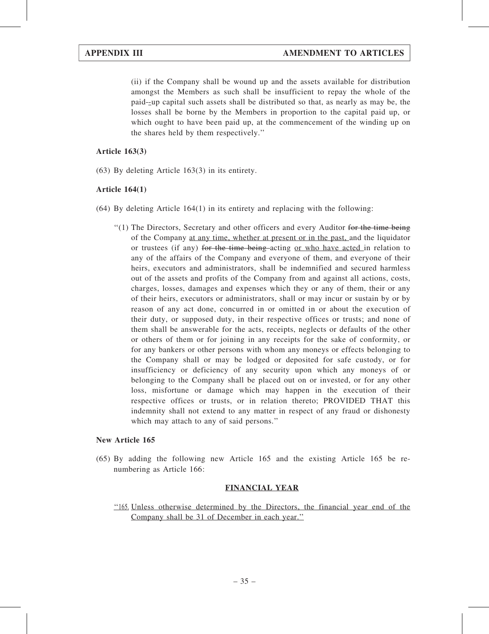(ii) if the Company shall be wound up and the assets available for distribution amongst the Members as such shall be insufficient to repay the whole of the paid -up capital such assets shall be distributed so that, as nearly as may be, the losses shall be borne by the Members in proportion to the capital paid up, or which ought to have been paid up, at the commencement of the winding up on the shares held by them respectively.''

# Article 163(3)

(63) By deleting Article 163(3) in its entirety.

# Article 164(1)

- (64) By deleting Article 164(1) in its entirety and replacing with the following:
	- $''(1)$  The Directors, Secretary and other officers and every Auditor for the time being of the Company at any time, whether at present or in the past, and the liquidator or trustees (if any) for the time being acting or who have acted in relation to any of the affairs of the Company and everyone of them, and everyone of their heirs, executors and administrators, shall be indemnified and secured harmless out of the assets and profits of the Company from and against all actions, costs, charges, losses, damages and expenses which they or any of them, their or any of their heirs, executors or administrators, shall or may incur or sustain by or by reason of any act done, concurred in or omitted in or about the execution of their duty, or supposed duty, in their respective offices or trusts; and none of them shall be answerable for the acts, receipts, neglects or defaults of the other or others of them or for joining in any receipts for the sake of conformity, or for any bankers or other persons with whom any moneys or effects belonging to the Company shall or may be lodged or deposited for safe custody, or for insufficiency or deficiency of any security upon which any moneys of or belonging to the Company shall be placed out on or invested, or for any other loss, misfortune or damage which may happen in the execution of their respective offices or trusts, or in relation thereto; PROVIDED THAT this indemnity shall not extend to any matter in respect of any fraud or dishonesty which may attach to any of said persons.''

# New Article 165

(65) By adding the following new Article 165 and the existing Article 165 be renumbering as Article 166:

# FINANCIAL YEAR

''165. Unless otherwise determined by the Directors, the financial year end of the Company shall be 31 of December in each year.''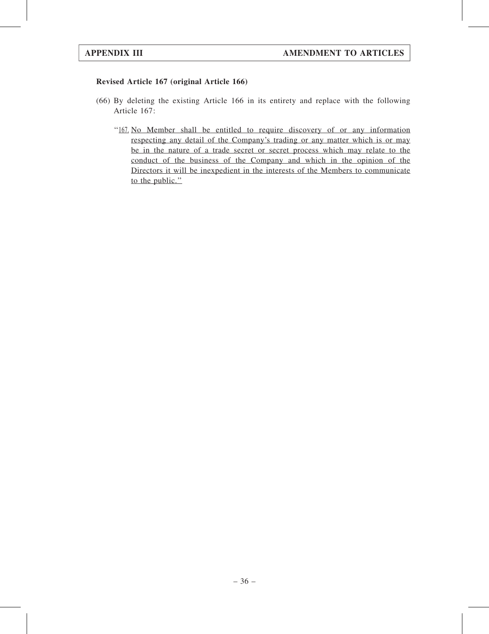# Revised Article 167 (original Article 166)

- (66) By deleting the existing Article 166 in its entirety and replace with the following Article 167:
	- ''167. No Member shall be entitled to require discovery of or any information respecting any detail of the Company's trading or any matter which is or may be in the nature of a trade secret or secret process which may relate to the conduct of the business of the Company and which in the opinion of the Directors it will be inexpedient in the interests of the Members to communicate to the public."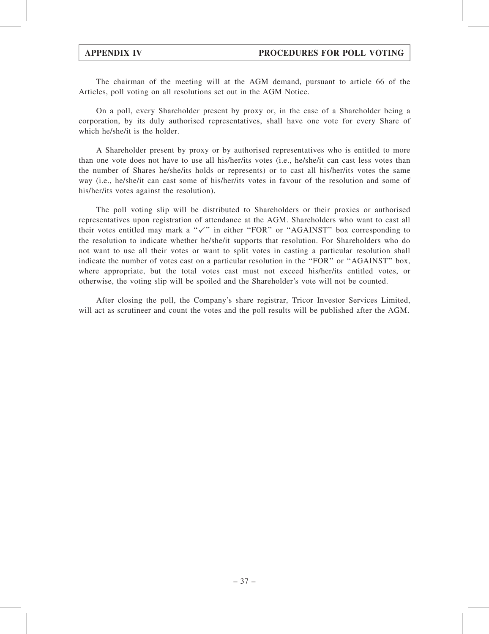The chairman of the meeting will at the AGM demand, pursuant to article 66 of the Articles, poll voting on all resolutions set out in the AGM Notice.

On a poll, every Shareholder present by proxy or, in the case of a Shareholder being a corporation, by its duly authorised representatives, shall have one vote for every Share of which he/she/it is the holder.

A Shareholder present by proxy or by authorised representatives who is entitled to more than one vote does not have to use all his/her/its votes (i.e., he/she/it can cast less votes than the number of Shares he/she/its holds or represents) or to cast all his/her/its votes the same way (i.e., he/she/it can cast some of his/her/its votes in favour of the resolution and some of his/her/its votes against the resolution).

The poll voting slip will be distributed to Shareholders or their proxies or authorised representatives upon registration of attendance at the AGM. Shareholders who want to cast all their votes entitled may mark a " $\checkmark$ " in either "FOR" or "AGAINST" box corresponding to the resolution to indicate whether he/she/it supports that resolution. For Shareholders who do not want to use all their votes or want to split votes in casting a particular resolution shall indicate the number of votes cast on a particular resolution in the ''FOR'' or ''AGAINST'' box, where appropriate, but the total votes cast must not exceed his/her/its entitled votes, or otherwise, the voting slip will be spoiled and the Shareholder's vote will not be counted.

After closing the poll, the Company's share registrar, Tricor Investor Services Limited, will act as scrutineer and count the votes and the poll results will be published after the AGM.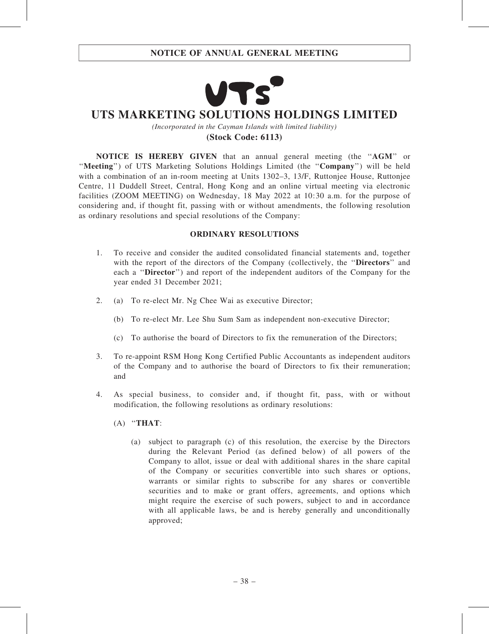

# **UTS MARKETING SOLUTIONS HOLDINGS LIMITED**

*(Incorporated in the Cayman Islands with limited liability)* **(Stock Code: 6113)**

NOTICE IS HEREBY GIVEN that an annual general meeting (the ''AGM'' or "Meeting") of UTS Marketing Solutions Holdings Limited (the "Company") will be held with a combination of an in-room meeting at Units 1302–3, 13/F, Ruttoniee House, Ruttoniee Centre, 11 Duddell Street, Central, Hong Kong and an online virtual meeting via electronic facilities (ZOOM MEETING) on Wednesday, 18 May 2022 at 10:30 a.m. for the purpose of considering and, if thought fit, passing with or without amendments, the following resolution as ordinary resolutions and special resolutions of the Company:

# ORDINARY RESOLUTIONS

- 1. To receive and consider the audited consolidated financial statements and, together with the report of the directors of the Company (collectively, the "Directors" and each a "Director") and report of the independent auditors of the Company for the year ended 31 December 2021;
- 2. (a) To re-elect Mr. Ng Chee Wai as executive Director;
	- (b) To re-elect Mr. Lee Shu Sum Sam as independent non-executive Director;
	- (c) To authorise the board of Directors to fix the remuneration of the Directors;
- 3. To re-appoint RSM Hong Kong Certified Public Accountants as independent auditors of the Company and to authorise the board of Directors to fix their remuneration; and
- 4. As special business, to consider and, if thought fit, pass, with or without modification, the following resolutions as ordinary resolutions:
	- $(A)$  "THAT:
		- (a) subject to paragraph (c) of this resolution, the exercise by the Directors during the Relevant Period (as defined below) of all powers of the Company to allot, issue or deal with additional shares in the share capital of the Company or securities convertible into such shares or options, warrants or similar rights to subscribe for any shares or convertible securities and to make or grant offers, agreements, and options which might require the exercise of such powers, subject to and in accordance with all applicable laws, be and is hereby generally and unconditionally approved;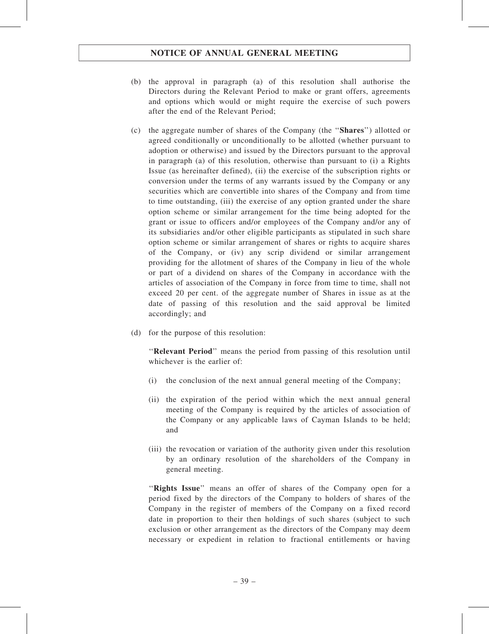- (b) the approval in paragraph (a) of this resolution shall authorise the Directors during the Relevant Period to make or grant offers, agreements and options which would or might require the exercise of such powers after the end of the Relevant Period;
- (c) the aggregate number of shares of the Company (the ''Shares'') allotted or agreed conditionally or unconditionally to be allotted (whether pursuant to adoption or otherwise) and issued by the Directors pursuant to the approval in paragraph (a) of this resolution, otherwise than pursuant to (i) a Rights Issue (as hereinafter defined), (ii) the exercise of the subscription rights or conversion under the terms of any warrants issued by the Company or any securities which are convertible into shares of the Company and from time to time outstanding, (iii) the exercise of any option granted under the share option scheme or similar arrangement for the time being adopted for the grant or issue to officers and/or employees of the Company and/or any of its subsidiaries and/or other eligible participants as stipulated in such share option scheme or similar arrangement of shares or rights to acquire shares of the Company, or (iv) any scrip dividend or similar arrangement providing for the allotment of shares of the Company in lieu of the whole or part of a dividend on shares of the Company in accordance with the articles of association of the Company in force from time to time, shall not exceed 20 per cent. of the aggregate number of Shares in issue as at the date of passing of this resolution and the said approval be limited accordingly; and
- (d) for the purpose of this resolution:

"Relevant Period" means the period from passing of this resolution until whichever is the earlier of:

- (i) the conclusion of the next annual general meeting of the Company;
- (ii) the expiration of the period within which the next annual general meeting of the Company is required by the articles of association of the Company or any applicable laws of Cayman Islands to be held; and
- (iii) the revocation or variation of the authority given under this resolution by an ordinary resolution of the shareholders of the Company in general meeting.

''Rights Issue'' means an offer of shares of the Company open for a period fixed by the directors of the Company to holders of shares of the Company in the register of members of the Company on a fixed record date in proportion to their then holdings of such shares (subject to such exclusion or other arrangement as the directors of the Company may deem necessary or expedient in relation to fractional entitlements or having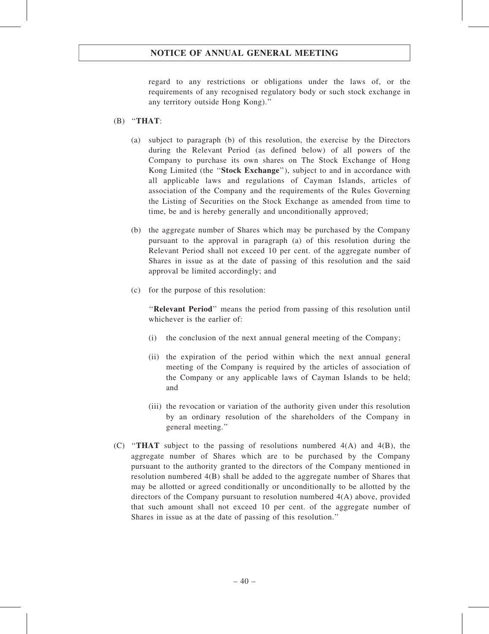regard to any restrictions or obligations under the laws of, or the requirements of any recognised regulatory body or such stock exchange in any territory outside Hong Kong).''

# $(B)$  "THAT:

- (a) subject to paragraph (b) of this resolution, the exercise by the Directors during the Relevant Period (as defined below) of all powers of the Company to purchase its own shares on The Stock Exchange of Hong Kong Limited (the "Stock Exchange"), subject to and in accordance with all applicable laws and regulations of Cayman Islands, articles of association of the Company and the requirements of the Rules Governing the Listing of Securities on the Stock Exchange as amended from time to time, be and is hereby generally and unconditionally approved;
- (b) the aggregate number of Shares which may be purchased by the Company pursuant to the approval in paragraph (a) of this resolution during the Relevant Period shall not exceed 10 per cent. of the aggregate number of Shares in issue as at the date of passing of this resolution and the said approval be limited accordingly; and
- (c) for the purpose of this resolution:

''Relevant Period'' means the period from passing of this resolution until whichever is the earlier of:

- (i) the conclusion of the next annual general meeting of the Company;
- (ii) the expiration of the period within which the next annual general meeting of the Company is required by the articles of association of the Company or any applicable laws of Cayman Islands to be held; and
- (iii) the revocation or variation of the authority given under this resolution by an ordinary resolution of the shareholders of the Company in general meeting.''
- (C) "THAT subject to the passing of resolutions numbered  $4(A)$  and  $4(B)$ , the aggregate number of Shares which are to be purchased by the Company pursuant to the authority granted to the directors of the Company mentioned in resolution numbered 4(B) shall be added to the aggregate number of Shares that may be allotted or agreed conditionally or unconditionally to be allotted by the directors of the Company pursuant to resolution numbered 4(A) above, provided that such amount shall not exceed 10 per cent. of the aggregate number of Shares in issue as at the date of passing of this resolution.''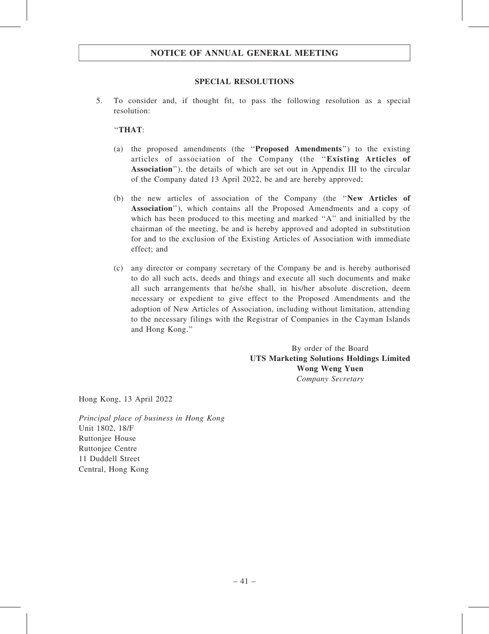# SPECIAL RESOLUTIONS

5. To consider and, if thought fit, to pass the following resolution as a special resolution:

# ''THAT:

- (a) the proposed amendments (the ''Proposed Amendments'') to the existing articles of association of the Company (the ''Existing Articles of Association''), the details of which are set out in Appendix III to the circular of the Company dated 13 April 2022, be and are hereby approved;
- (b) the new articles of association of the Company (the ''New Articles of Association''), which contains all the Proposed Amendments and a copy of which has been produced to this meeting and marked "A" and initialled by the chairman of the meeting, be and is hereby approved and adopted in substitution for and to the exclusion of the Existing Articles of Association with immediate effect; and
- (c) any director or company secretary of the Company be and is hereby authorised to do all such acts, deeds and things and execute all such documents and make all such arrangements that he/she shall, in his/her absolute discretion, deem necessary or expedient to give effect to the Proposed Amendments and the adoption of New Articles of Association, including without limitation, attending to the necessary filings with the Registrar of Companies in the Cayman Islands and Hong Kong.''

By order of the Board UTS Marketing Solutions Holdings Limited Wong Weng Yuen Company Secretary

Hong Kong, 13 April 2022

Principal place of business in Hong Kong Unit 1802, 18/F Ruttonjee House Ruttonjee Centre 11 Duddell Street Central, Hong Kong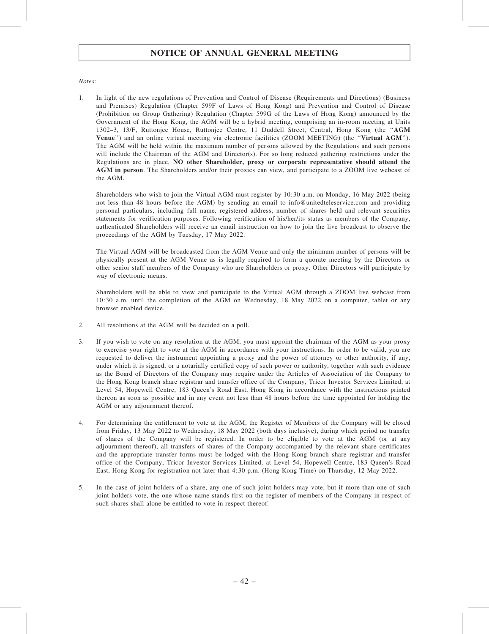### Notes:

1. In light of the new regulations of Prevention and Control of Disease (Requirements and Directions) (Business and Premises) Regulation (Chapter 599F of Laws of Hong Kong) and Prevention and Control of Disease (Prohibition on Group Gathering) Regulation (Chapter 599G of the Laws of Hong Kong) announced by the Government of the Hong Kong, the AGM will be a hybrid meeting, comprising an in-room meeting at Units 1302–3, 13/F, Ruttonjee House, Ruttonjee Centre, 11 Duddell Street, Central, Hong Kong (the ''AGM Venue") and an online virtual meeting via electronic facilities (ZOOM MEETING) (the "Virtual AGM"). The AGM will be held within the maximum number of persons allowed by the Regulations and such persons will include the Chairman of the AGM and Director(s). For so long reduced gathering restrictions under the Regulations are in place, NO other Shareholder, proxy or corporate representative should attend the AGM in person. The Shareholders and/or their proxies can view, and participate to a ZOOM live webcast of the AGM.

Shareholders who wish to join the Virtual AGM must register by 10:30 a.m. on Monday, 16 May 2022 (being not less than 48 hours before the AGM) by sending an email to info@unitedteleservice.com and providing personal particulars, including full name, registered address, number of shares held and relevant securities statements for verification purposes. Following verification of his/her/its status as members of the Company, authenticated Shareholders will receive an email instruction on how to join the live broadcast to observe the proceedings of the AGM by Tuesday, 17 May 2022.

The Virtual AGM will be broadcasted from the AGM Venue and only the minimum number of persons will be physically present at the AGM Venue as is legally required to form a quorate meeting by the Directors or other senior staff members of the Company who are Shareholders or proxy. Other Directors will participate by way of electronic means.

Shareholders will be able to view and participate to the Virtual AGM through a ZOOM live webcast from 10:30 a.m. until the completion of the AGM on Wednesday, 18 May 2022 on a computer, tablet or any browser enabled device.

- 2. All resolutions at the AGM will be decided on a poll.
- 3. If you wish to vote on any resolution at the AGM, you must appoint the chairman of the AGM as your proxy to exercise your right to vote at the AGM in accordance with your instructions. In order to be valid, you are requested to deliver the instrument appointing a proxy and the power of attorney or other authority, if any, under which it is signed, or a notarially certified copy of such power or authority, together with such evidence as the Board of Directors of the Company may require under the Articles of Association of the Company to the Hong Kong branch share registrar and transfer office of the Company, Tricor Investor Services Limited, at Level 54, Hopewell Centre, 183 Queen's Road East, Hong Kong in accordance with the instructions printed thereon as soon as possible and in any event not less than 48 hours before the time appointed for holding the AGM or any adjournment thereof.
- 4. For determining the entitlement to vote at the AGM, the Register of Members of the Company will be closed from Friday, 13 May 2022 to Wednesday, 18 May 2022 (both days inclusive), during which period no transfer of shares of the Company will be registered. In order to be eligible to vote at the AGM (or at any adjournment thereof), all transfers of shares of the Company accompanied by the relevant share certificates and the appropriate transfer forms must be lodged with the Hong Kong branch share registrar and transfer office of the Company, Tricor Investor Services Limited, at Level 54, Hopewell Centre, 183 Queen's Road East, Hong Kong for registration not later than 4:30 p.m. (Hong Kong Time) on Thursday, 12 May 2022.
- 5. In the case of joint holders of a share, any one of such joint holders may vote, but if more than one of such joint holders vote, the one whose name stands first on the register of members of the Company in respect of such shares shall alone be entitled to vote in respect thereof.